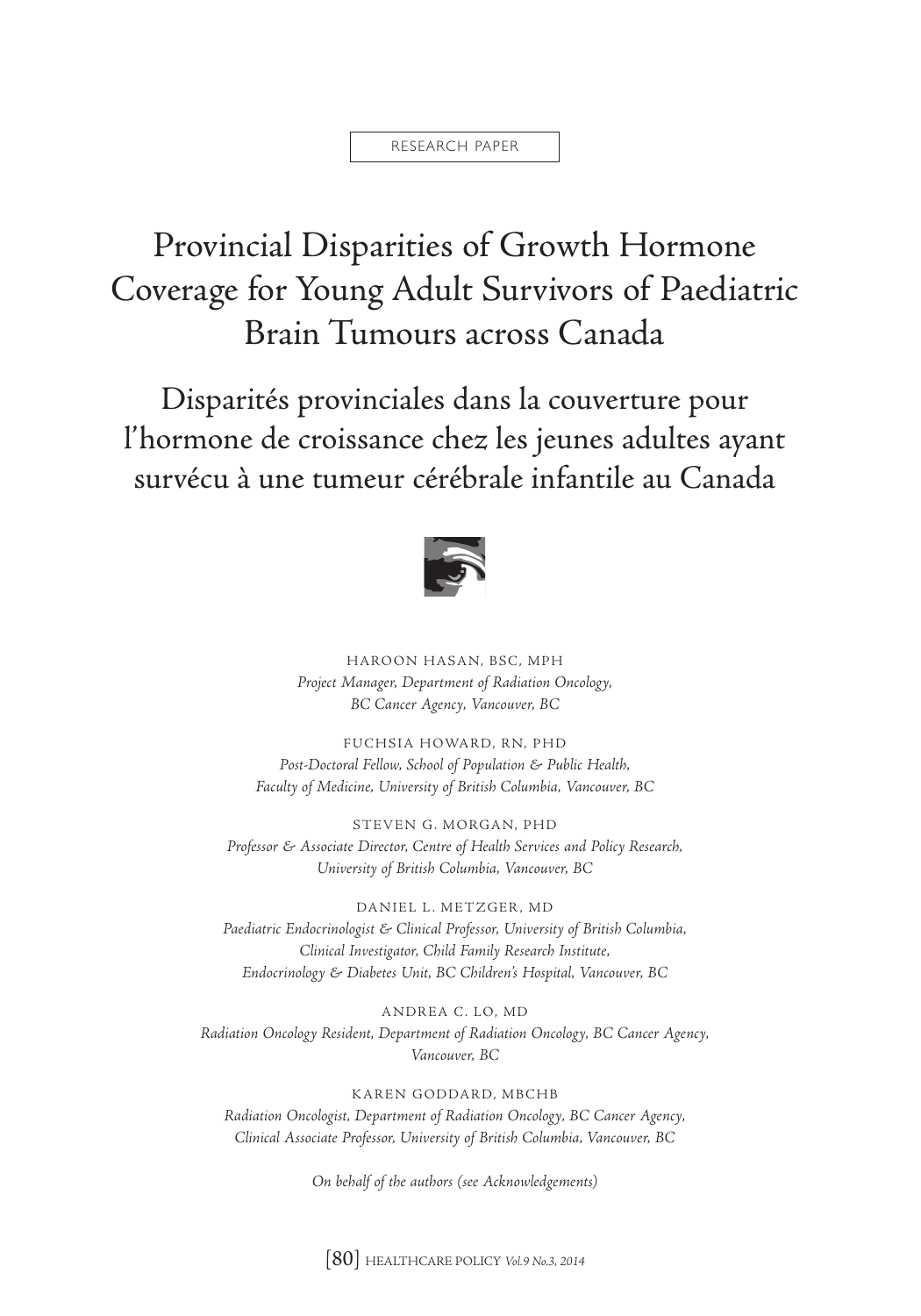#### RESEARCH PAPER

# Provincial Disparities of Growth Hormone Coverage for Young Adult Survivors of Paediatric Brain Tumours across Canada

Disparités provinciales dans la couverture pour l'hormone de croissance chez les jeunes adultes ayant survécu à une tumeur cérébrale infantile au Canada



HAROON HASAN, BSC, MPH *Project Manager, Department of Radiation Oncology, BC Cancer Agency, Vancouver, BC*

FUCHSIA HOWARD, RN, PHD *Post-Doctoral Fellow, School of Population & Public Health, Faculty of Medicine, University of British Columbia, Vancouver, BC* 

STEVEN G. MORGAN, PHD *Professor & Associate Director, Centre of Health Services and Policy Research, University of British Columbia, Vancouver, BC* 

DANIEL L. METZGER, MD *Paediatric Endocrinologist & Clinical Professor, University of British Columbia, Clinical Investigator, Child Family Research Institute, Endocrinology & Diabetes Unit, BC Children's Hospital, Vancouver, BC* 

ANDREA C. LO, MD *Radiation Oncology Resident, Department of Radiation Oncology, BC Cancer Agency, Vancouver, BC* 

KAREN GODDARD, MBCHB *Radiation Oncologist, Department of Radiation Oncology, BC Cancer Agency, Clinical Associate Professor, University of British Columbia, Vancouver, BC*

*On behalf of the authors (see Acknowledgements)*

[80] HEALTHCARE POLICY *Vol.9 No.3, 2014*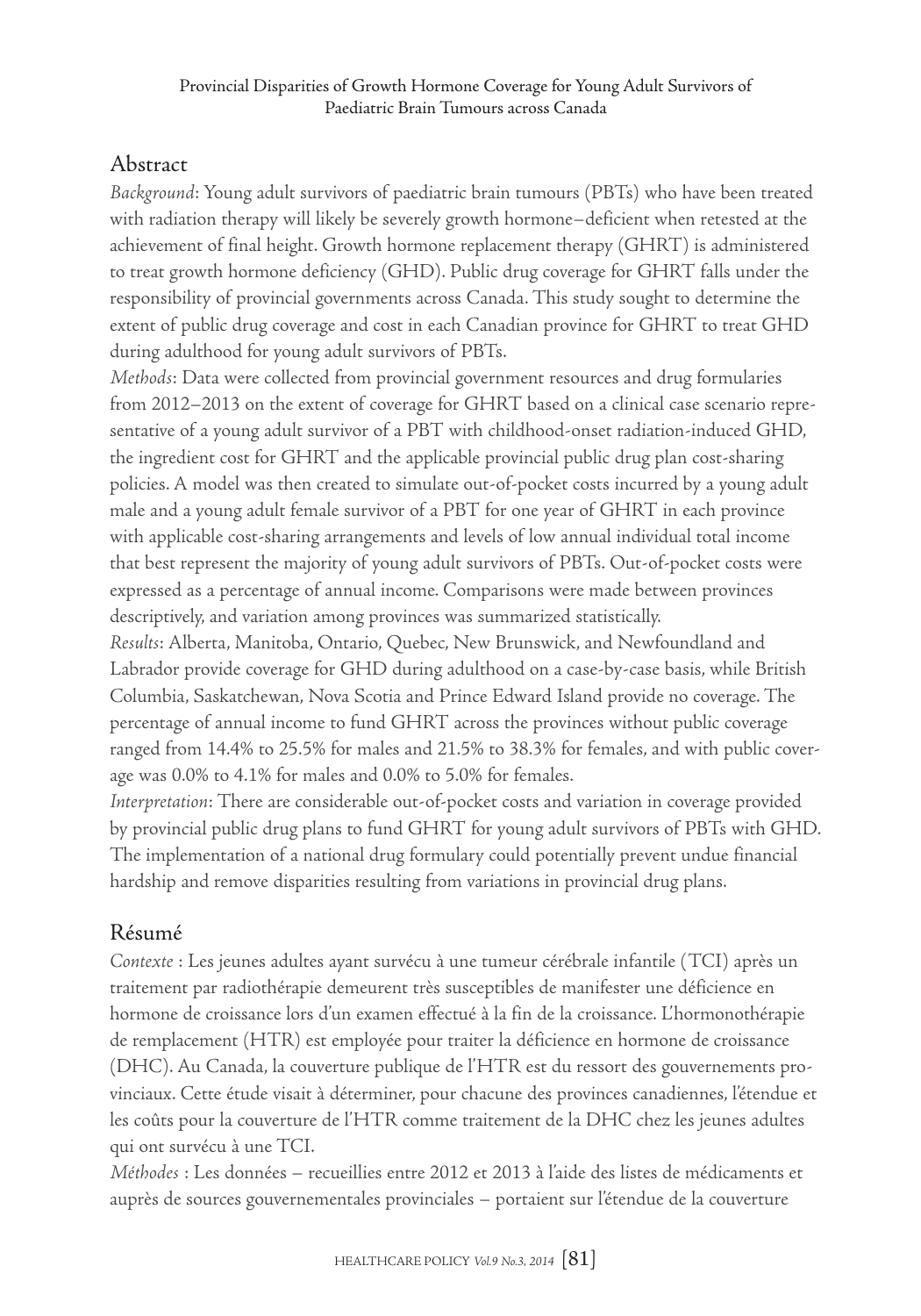# Abstract

*Background*: Young adult survivors of paediatric brain tumours (PBTs) who have been treated with radiation therapy will likely be severely growth hormone–deficient when retested at the achievement of final height. Growth hormone replacement therapy (GHRT) is administered to treat growth hormone deficiency (GHD). Public drug coverage for GHRT falls under the responsibility of provincial governments across Canada. This study sought to determine the extent of public drug coverage and cost in each Canadian province for GHRT to treat GHD during adulthood for young adult survivors of PBTs.

*Methods*: Data were collected from provincial government resources and drug formularies from 2012–2013 on the extent of coverage for GHRT based on a clinical case scenario representative of a young adult survivor of a PBT with childhood-onset radiation-induced GHD, the ingredient cost for GHRT and the applicable provincial public drug plan cost-sharing policies. A model was then created to simulate out-of-pocket costs incurred by a young adult male and a young adult female survivor of a PBT for one year of GHRT in each province with applicable cost-sharing arrangements and levels of low annual individual total income that best represent the majority of young adult survivors of PBTs. Out-of-pocket costs were expressed as a percentage of annual income. Comparisons were made between provinces descriptively, and variation among provinces was summarized statistically.

*Results*: Alberta, Manitoba, Ontario, Quebec, New Brunswick, and Newfoundland and Labrador provide coverage for GHD during adulthood on a case-by-case basis, while British Columbia, Saskatchewan, Nova Scotia and Prince Edward Island provide no coverage. The percentage of annual income to fund GHRT across the provinces without public coverage ranged from 14.4% to 25.5% for males and 21.5% to 38.3% for females, and with public coverage was 0.0% to 4.1% for males and 0.0% to 5.0% for females.

*Interpretation*: There are considerable out-of-pocket costs and variation in coverage provided by provincial public drug plans to fund GHRT for young adult survivors of PBTs with GHD. The implementation of a national drug formulary could potentially prevent undue financial hardship and remove disparities resulting from variations in provincial drug plans.

# Résumé

*Contexte* : Les jeunes adultes ayant survécu à une tumeur cérébrale infantile (TCI) après un traitement par radiothérapie demeurent très susceptibles de manifester une déficience en hormone de croissance lors d'un examen effectué à la fin de la croissance. L'hormonothérapie de remplacement (HTR) est employée pour traiter la déficience en hormone de croissance (DHC). Au Canada, la couverture publique de l'HTR est du ressort des gouvernements provinciaux. Cette étude visait à déterminer, pour chacune des provinces canadiennes, l'étendue et les coûts pour la couverture de l'HTR comme traitement de la DHC chez les jeunes adultes qui ont survécu à une TCI.

*Méthodes* : Les données – recueillies entre 2012 et 2013 à l'aide des listes de médicaments et auprès de sources gouvernementales provinciales – portaient sur l'étendue de la couverture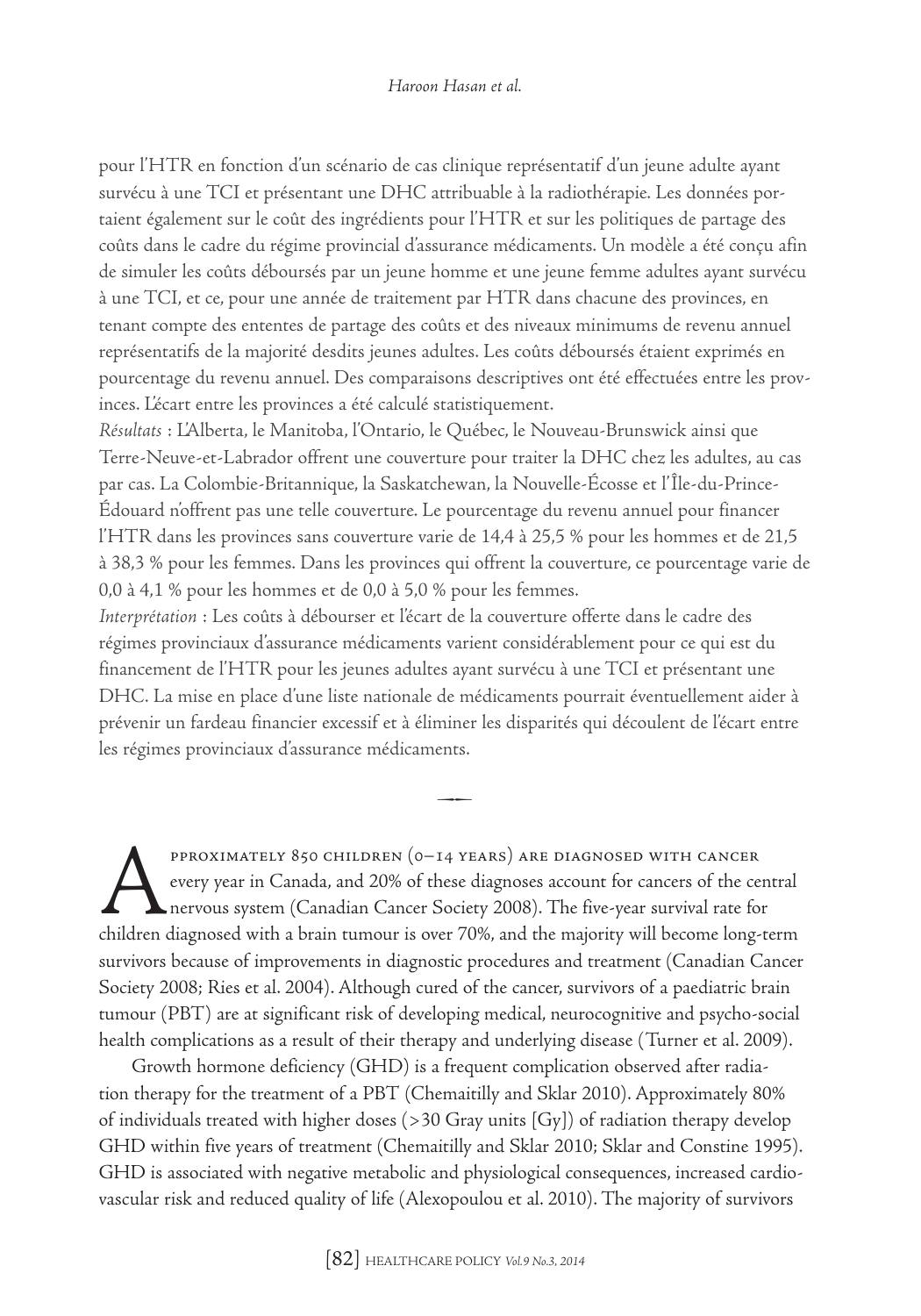#### *Haroon Hasan et al.*

pour l'HTR en fonction d'un scénario de cas clinique représentatif d'un jeune adulte ayant survécu à une TCI et présentant une DHC attribuable à la radiothérapie. Les données portaient également sur le coût des ingrédients pour l'HTR et sur les politiques de partage des coûts dans le cadre du régime provincial d'assurance médicaments. Un modèle a été conçu afin de simuler les coûts déboursés par un jeune homme et une jeune femme adultes ayant survécu à une TCI, et ce, pour une année de traitement par HTR dans chacune des provinces, en tenant compte des ententes de partage des coûts et des niveaux minimums de revenu annuel représentatifs de la majorité desdits jeunes adultes. Les coûts déboursés étaient exprimés en pourcentage du revenu annuel. Des comparaisons descriptives ont été effectuées entre les provinces. L'écart entre les provinces a été calculé statistiquement.

*Résultats* : L'Alberta, le Manitoba, l'Ontario, le Québec, le Nouveau-Brunswick ainsi que Terre-Neuve-et-Labrador offrent une couverture pour traiter la DHC chez les adultes, au cas par cas. La Colombie-Britannique, la Saskatchewan, la Nouvelle-Écosse et l'Île-du-Prince-Édouard n'offrent pas une telle couverture. Le pourcentage du revenu annuel pour financer l'HTR dans les provinces sans couverture varie de 14,4 à 25,5 % pour les hommes et de 21,5 à 38,3 % pour les femmes. Dans les provinces qui offrent la couverture, ce pourcentage varie de 0,0 à 4,1 % pour les hommes et de 0,0 à 5,0 % pour les femmes.

*Interprétation* : Les coûts à débourser et l'écart de la couverture offerte dans le cadre des régimes provinciaux d'assurance médicaments varient considérablement pour ce qui est du financement de l'HTR pour les jeunes adultes ayant survécu à une TCI et présentant une DHC. La mise en place d'une liste nationale de médicaments pourrait éventuellement aider à prévenir un fardeau financier excessif et à éliminer les disparités qui découlent de l'écart entre les régimes provinciaux d'assurance médicaments.

 $\overline{\phantom{a}}$ 

PPROXIMATELY 850 CHILDREN  $(o-I4$  YEARS) ARE DIAGNOSED WITH CANCER<br>every year in Canada, and 20% of these diagnoses account for cancers of the ce<br>hildren diagnosed with a brain tumour is over 70% and the majority will becom every year in Canada, and 20% of these diagnoses account for cancers of the central nervous system (Canadian Cancer Society 2008). The five-year survival rate for children diagnosed with a brain tumour is over 70%, and the majority will become long-term survivors because of improvements in diagnostic procedures and treatment (Canadian Cancer Society 2008; Ries et al. 2004). Although cured of the cancer, survivors of a paediatric brain tumour (PBT) are at significant risk of developing medical, neurocognitive and psycho-social health complications as a result of their therapy and underlying disease (Turner et al. 2009).

Growth hormone deficiency (GHD) is a frequent complication observed after radiation therapy for the treatment of a PBT (Chemaitilly and Sklar 2010). Approximately 80% of individuals treated with higher doses (>30 Gray units [Gy]) of radiation therapy develop GHD within five years of treatment (Chemaitilly and Sklar 2010; Sklar and Constine 1995). GHD is associated with negative metabolic and physiological consequences, increased cardiovascular risk and reduced quality of life (Alexopoulou et al. 2010). The majority of survivors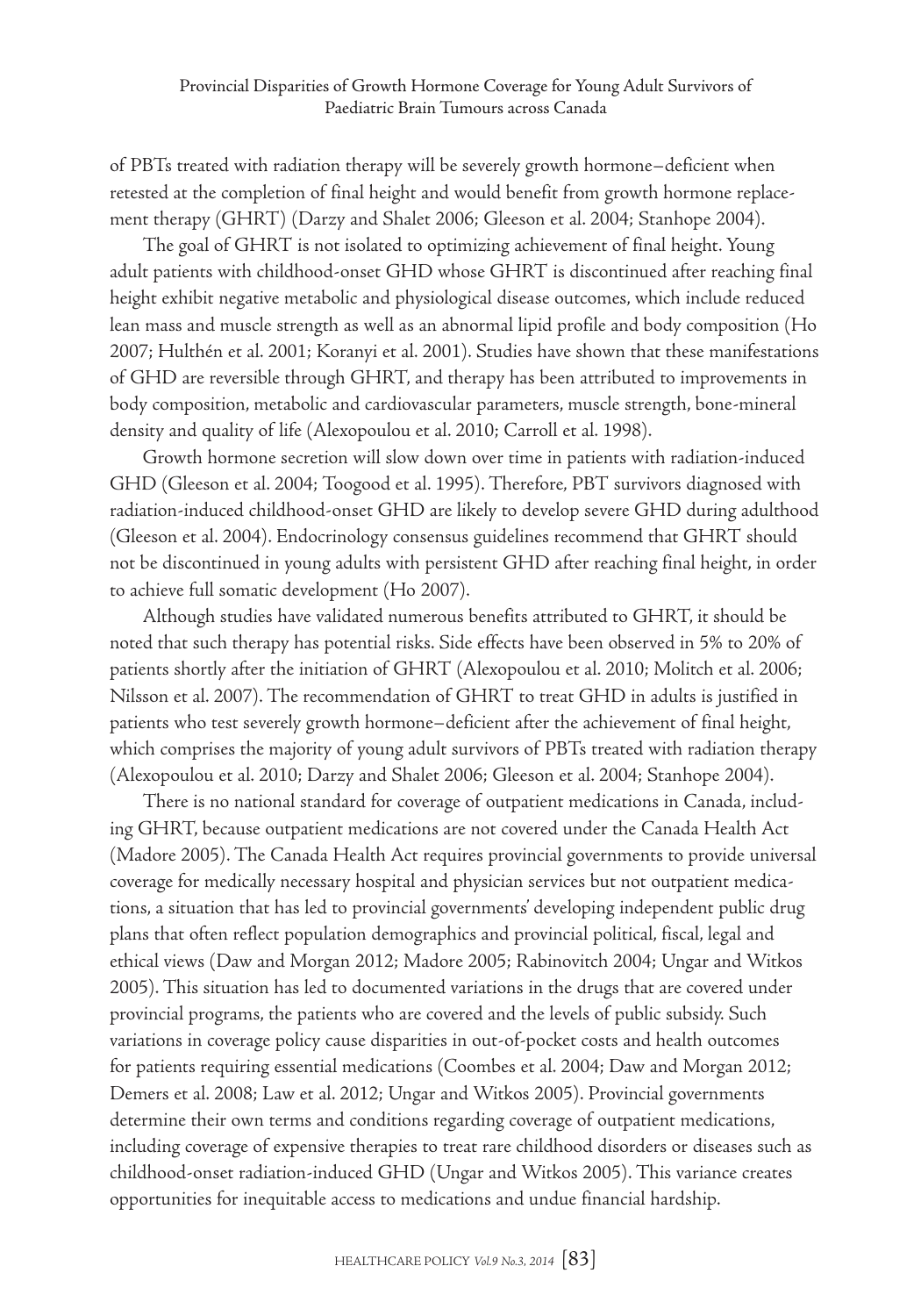of PBTs treated with radiation therapy will be severely growth hormone–deficient when retested at the completion of final height and would benefit from growth hormone replacement therapy (GHRT) (Darzy and Shalet 2006; Gleeson et al. 2004; Stanhope 2004).

The goal of GHRT is not isolated to optimizing achievement of final height. Young adult patients with childhood-onset GHD whose GHRT is discontinued after reaching final height exhibit negative metabolic and physiological disease outcomes, which include reduced lean mass and muscle strength as well as an abnormal lipid profile and body composition (Ho 2007; Hulthén et al. 2001; Koranyi et al. 2001). Studies have shown that these manifestations of GHD are reversible through GHRT, and therapy has been attributed to improvements in body composition, metabolic and cardiovascular parameters, muscle strength, bone-mineral density and quality of life (Alexopoulou et al. 2010; Carroll et al. 1998).

Growth hormone secretion will slow down over time in patients with radiation-induced GHD (Gleeson et al. 2004; Toogood et al. 1995). Therefore, PBT survivors diagnosed with radiation-induced childhood-onset GHD are likely to develop severe GHD during adulthood (Gleeson et al. 2004). Endocrinology consensus guidelines recommend that GHRT should not be discontinued in young adults with persistent GHD after reaching final height, in order to achieve full somatic development (Ho 2007).

Although studies have validated numerous benefits attributed to GHRT, it should be noted that such therapy has potential risks. Side effects have been observed in 5% to 20% of patients shortly after the initiation of GHRT (Alexopoulou et al. 2010; Molitch et al. 2006; Nilsson et al. 2007). The recommendation of GHRT to treat GHD in adults is justified in patients who test severely growth hormone–deficient after the achievement of final height, which comprises the majority of young adult survivors of PBTs treated with radiation therapy (Alexopoulou et al. 2010; Darzy and Shalet 2006; Gleeson et al. 2004; Stanhope 2004).

There is no national standard for coverage of outpatient medications in Canada, including GHRT, because outpatient medications are not covered under the Canada Health Act (Madore 2005). The Canada Health Act requires provincial governments to provide universal coverage for medically necessary hospital and physician services but not outpatient medications, a situation that has led to provincial governments' developing independent public drug plans that often reflect population demographics and provincial political, fiscal, legal and ethical views (Daw and Morgan 2012; Madore 2005; Rabinovitch 2004; Ungar and Witkos 2005). This situation has led to documented variations in the drugs that are covered under provincial programs, the patients who are covered and the levels of public subsidy. Such variations in coverage policy cause disparities in out-of-pocket costs and health outcomes for patients requiring essential medications (Coombes et al. 2004; Daw and Morgan 2012; Demers et al. 2008; Law et al. 2012; Ungar and Witkos 2005). Provincial governments determine their own terms and conditions regarding coverage of outpatient medications, including coverage of expensive therapies to treat rare childhood disorders or diseases such as childhood-onset radiation-induced GHD (Ungar and Witkos 2005). This variance creates opportunities for inequitable access to medications and undue financial hardship.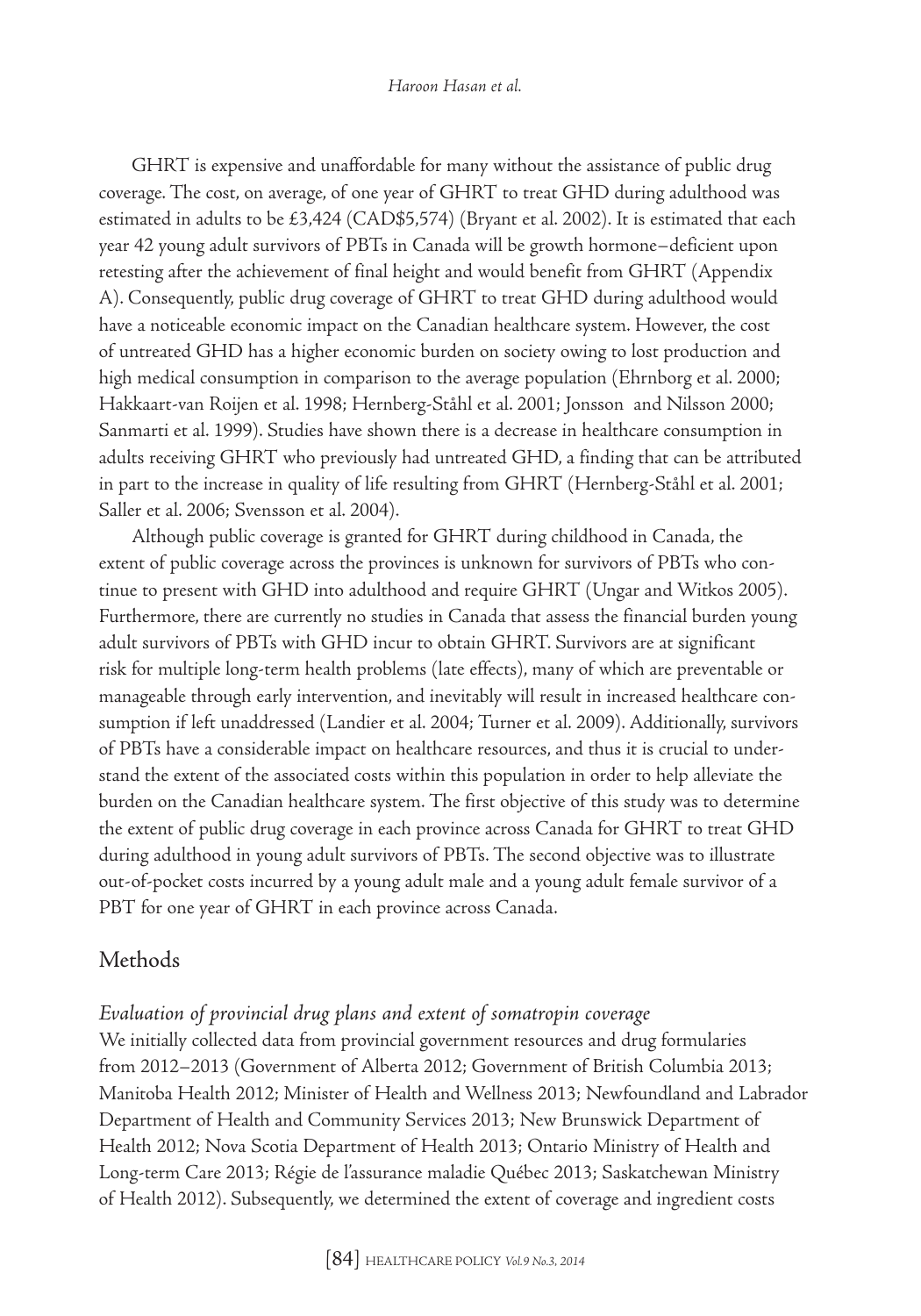#### *Haroon Hasan et al.*

GHRT is expensive and unaffordable for many without the assistance of public drug coverage. The cost, on average, of one year of GHRT to treat GHD during adulthood was estimated in adults to be £3,424 (CAD\$5,574) (Bryant et al. 2002). It is estimated that each year 42 young adult survivors of PBTs in Canada will be growth hormone–deficient upon retesting after the achievement of final height and would benefit from GHRT (Appendix A). Consequently, public drug coverage of GHRT to treat GHD during adulthood would have a noticeable economic impact on the Canadian healthcare system. However, the cost of untreated GHD has a higher economic burden on society owing to lost production and high medical consumption in comparison to the average population (Ehrnborg et al. 2000; Hakkaart-van Roijen et al. 1998; Hernberg-Ståhl et al. 2001; Jonsson and Nilsson 2000; Sanmarti et al. 1999). Studies have shown there is a decrease in healthcare consumption in adults receiving GHRT who previously had untreated GHD, a finding that can be attributed in part to the increase in quality of life resulting from GHRT (Hernberg-Ståhl et al. 2001; Saller et al. 2006; Svensson et al. 2004).

Although public coverage is granted for GHRT during childhood in Canada, the extent of public coverage across the provinces is unknown for survivors of PBTs who continue to present with GHD into adulthood and require GHRT (Ungar and Witkos 2005). Furthermore, there are currently no studies in Canada that assess the financial burden young adult survivors of PBTs with GHD incur to obtain GHRT. Survivors are at significant risk for multiple long-term health problems (late effects), many of which are preventable or manageable through early intervention, and inevitably will result in increased healthcare consumption if left unaddressed (Landier et al. 2004; Turner et al. 2009). Additionally, survivors of PBTs have a considerable impact on healthcare resources, and thus it is crucial to understand the extent of the associated costs within this population in order to help alleviate the burden on the Canadian healthcare system. The first objective of this study was to determine the extent of public drug coverage in each province across Canada for GHRT to treat GHD during adulthood in young adult survivors of PBTs. The second objective was to illustrate out-of-pocket costs incurred by a young adult male and a young adult female survivor of a PBT for one year of GHRT in each province across Canada.

## Methods

## *Evaluation of provincial drug plans and extent of somatropin coverage*

We initially collected data from provincial government resources and drug formularies from 2012–2013 (Government of Alberta 2012; Government of British Columbia 2013; Manitoba Health 2012; Minister of Health and Wellness 2013; Newfoundland and Labrador Department of Health and Community Services 2013; New Brunswick Department of Health 2012; Nova Scotia Department of Health 2013; Ontario Ministry of Health and Long-term Care 2013; Régie de l'assurance maladie Québec 2013; Saskatchewan Ministry of Health 2012). Subsequently, we determined the extent of coverage and ingredient costs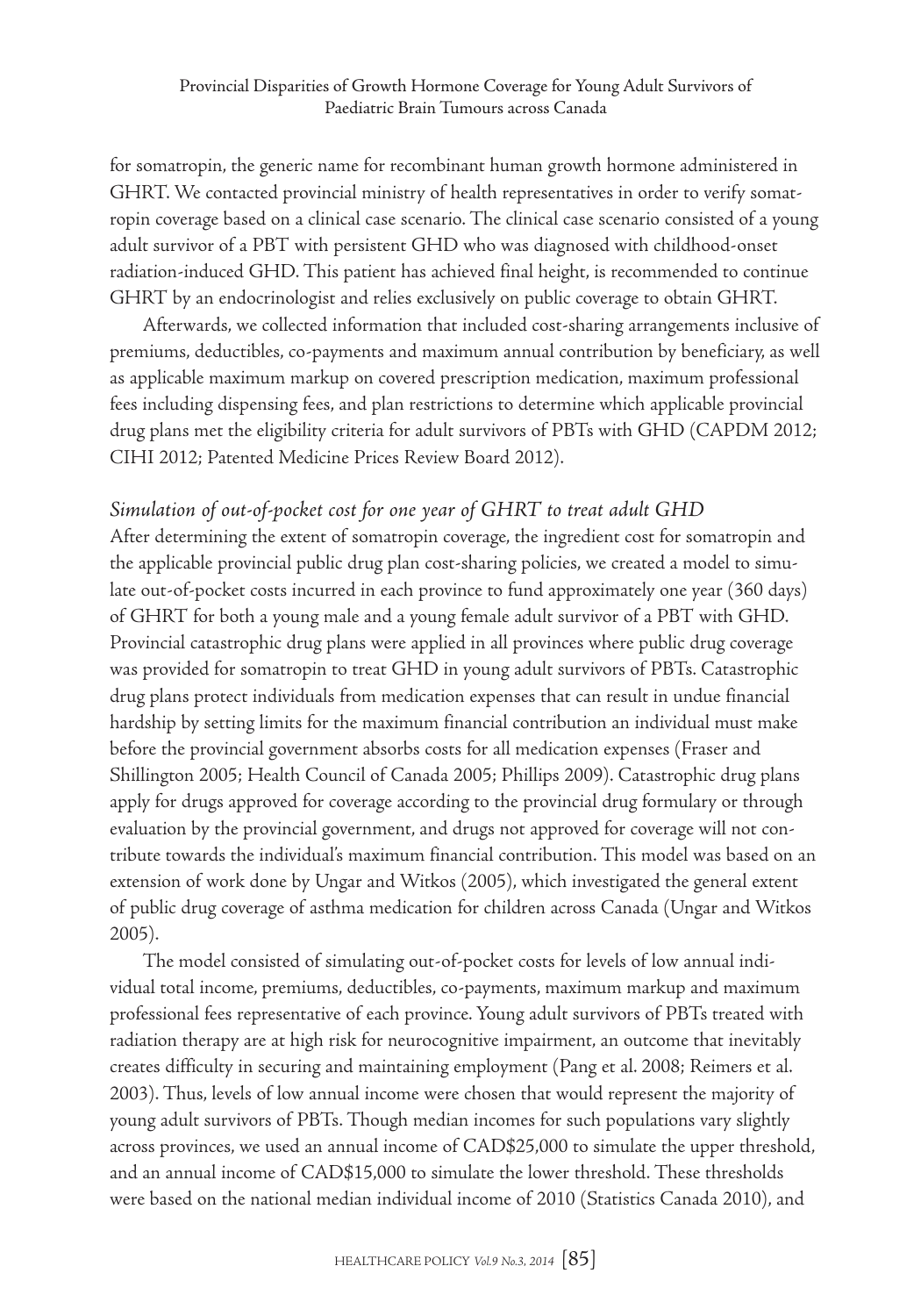#### Provincial Disparities of Growth Hormone Coverage for Young Adult Survivors of Paediatric Brain Tumours across Canada

for somatropin, the generic name for recombinant human growth hormone administered in GHRT. We contacted provincial ministry of health representatives in order to verify somatropin coverage based on a clinical case scenario. The clinical case scenario consisted of a young adult survivor of a PBT with persistent GHD who was diagnosed with childhood-onset radiation-induced GHD. This patient has achieved final height, is recommended to continue GHRT by an endocrinologist and relies exclusively on public coverage to obtain GHRT.

Afterwards, we collected information that included cost-sharing arrangements inclusive of premiums, deductibles, co-payments and maximum annual contribution by beneficiary, as well as applicable maximum markup on covered prescription medication, maximum professional fees including dispensing fees, and plan restrictions to determine which applicable provincial drug plans met the eligibility criteria for adult survivors of PBTs with GHD (CAPDM 2012; CIHI 2012; Patented Medicine Prices Review Board 2012).

## *Simulation of out-of-pocket cost for one year of GHRT to treat adult GHD*

After determining the extent of somatropin coverage, the ingredient cost for somatropin and the applicable provincial public drug plan cost-sharing policies, we created a model to simulate out-of-pocket costs incurred in each province to fund approximately one year (360 days) of GHRT for both a young male and a young female adult survivor of a PBT with GHD. Provincial catastrophic drug plans were applied in all provinces where public drug coverage was provided for somatropin to treat GHD in young adult survivors of PBTs. Catastrophic drug plans protect individuals from medication expenses that can result in undue financial hardship by setting limits for the maximum financial contribution an individual must make before the provincial government absorbs costs for all medication expenses (Fraser and Shillington 2005; Health Council of Canada 2005; Phillips 2009). Catastrophic drug plans apply for drugs approved for coverage according to the provincial drug formulary or through evaluation by the provincial government, and drugs not approved for coverage will not contribute towards the individual's maximum financial contribution. This model was based on an extension of work done by Ungar and Witkos (2005), which investigated the general extent of public drug coverage of asthma medication for children across Canada (Ungar and Witkos 2005).

The model consisted of simulating out-of-pocket costs for levels of low annual individual total income, premiums, deductibles, co-payments, maximum markup and maximum professional fees representative of each province. Young adult survivors of PBTs treated with radiation therapy are at high risk for neurocognitive impairment, an outcome that inevitably creates difficulty in securing and maintaining employment (Pang et al. 2008; Reimers et al. 2003). Thus, levels of low annual income were chosen that would represent the majority of young adult survivors of PBTs. Though median incomes for such populations vary slightly across provinces, we used an annual income of CAD\$25,000 to simulate the upper threshold, and an annual income of CAD\$15,000 to simulate the lower threshold. These thresholds were based on the national median individual income of 2010 (Statistics Canada 2010), and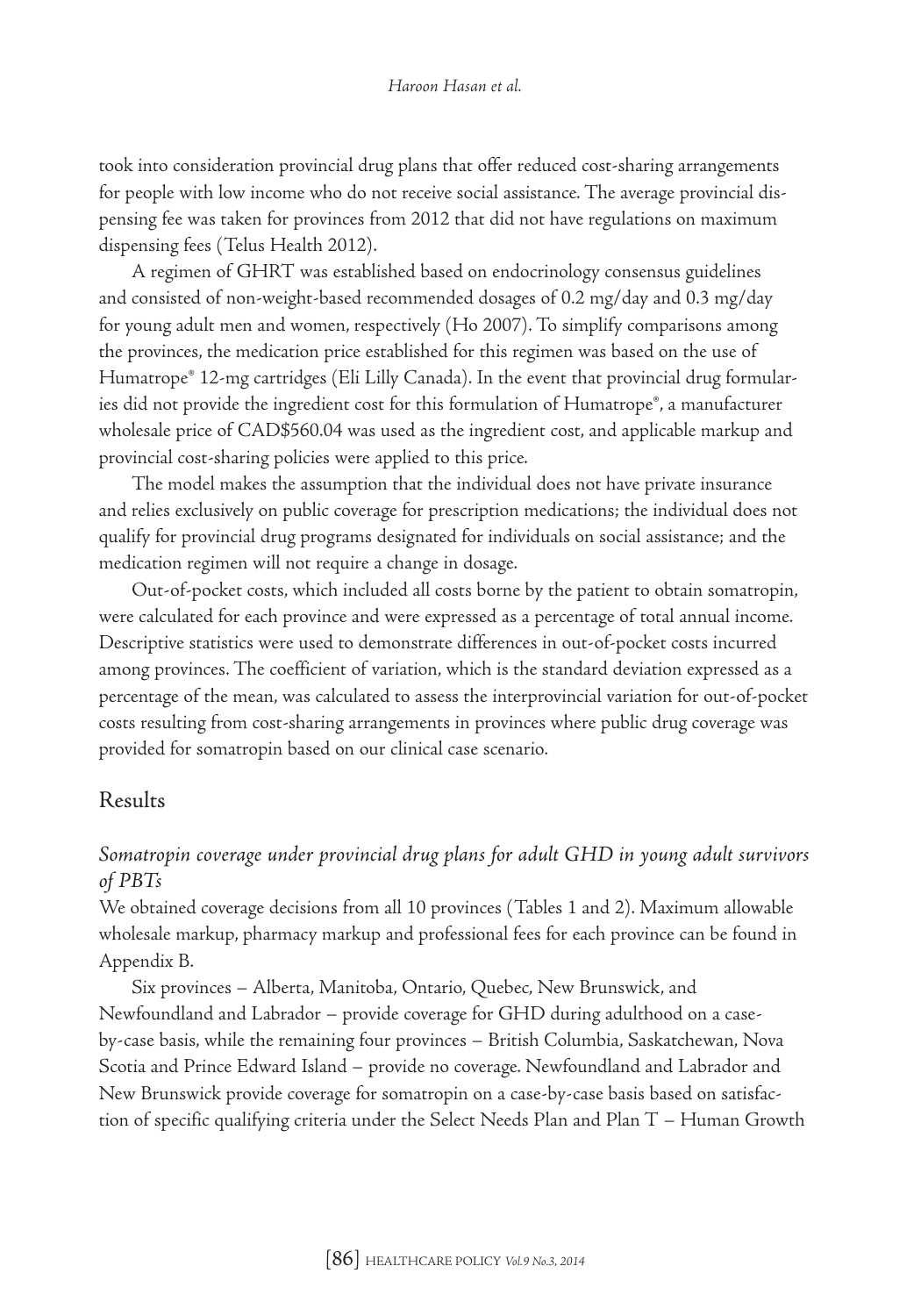took into consideration provincial drug plans that offer reduced cost-sharing arrangements for people with low income who do not receive social assistance. The average provincial dispensing fee was taken for provinces from 2012 that did not have regulations on maximum dispensing fees (Telus Health 2012).

A regimen of GHRT was established based on endocrinology consensus guidelines and consisted of non-weight-based recommended dosages of 0.2 mg/day and 0.3 mg/day for young adult men and women, respectively (Ho 2007). To simplify comparisons among the provinces, the medication price established for this regimen was based on the use of Humatrope® 12-mg cartridges (Eli Lilly Canada). In the event that provincial drug formularies did not provide the ingredient cost for this formulation of Humatrope®, a manufacturer wholesale price of CAD\$560.04 was used as the ingredient cost, and applicable markup and provincial cost-sharing policies were applied to this price.

The model makes the assumption that the individual does not have private insurance and relies exclusively on public coverage for prescription medications; the individual does not qualify for provincial drug programs designated for individuals on social assistance; and the medication regimen will not require a change in dosage.

Out-of-pocket costs, which included all costs borne by the patient to obtain somatropin, were calculated for each province and were expressed as a percentage of total annual income. Descriptive statistics were used to demonstrate differences in out-of-pocket costs incurred among provinces. The coefficient of variation, which is the standard deviation expressed as a percentage of the mean, was calculated to assess the interprovincial variation for out-of-pocket costs resulting from cost-sharing arrangements in provinces where public drug coverage was provided for somatropin based on our clinical case scenario.

## Results

## *Somatropin coverage under provincial drug plans for adult GHD in young adult survivors of PBTs*

We obtained coverage decisions from all 10 provinces (Tables 1 and 2). Maximum allowable wholesale markup, pharmacy markup and professional fees for each province can be found in Appendix B.

Six provinces – Alberta, Manitoba, Ontario, Quebec, New Brunswick, and Newfoundland and Labrador – provide coverage for GHD during adulthood on a caseby-case basis, while the remaining four provinces – British Columbia, Saskatchewan, Nova Scotia and Prince Edward Island – provide no coverage. Newfoundland and Labrador and New Brunswick provide coverage for somatropin on a case-by-case basis based on satisfaction of specific qualifying criteria under the Select Needs Plan and Plan T – Human Growth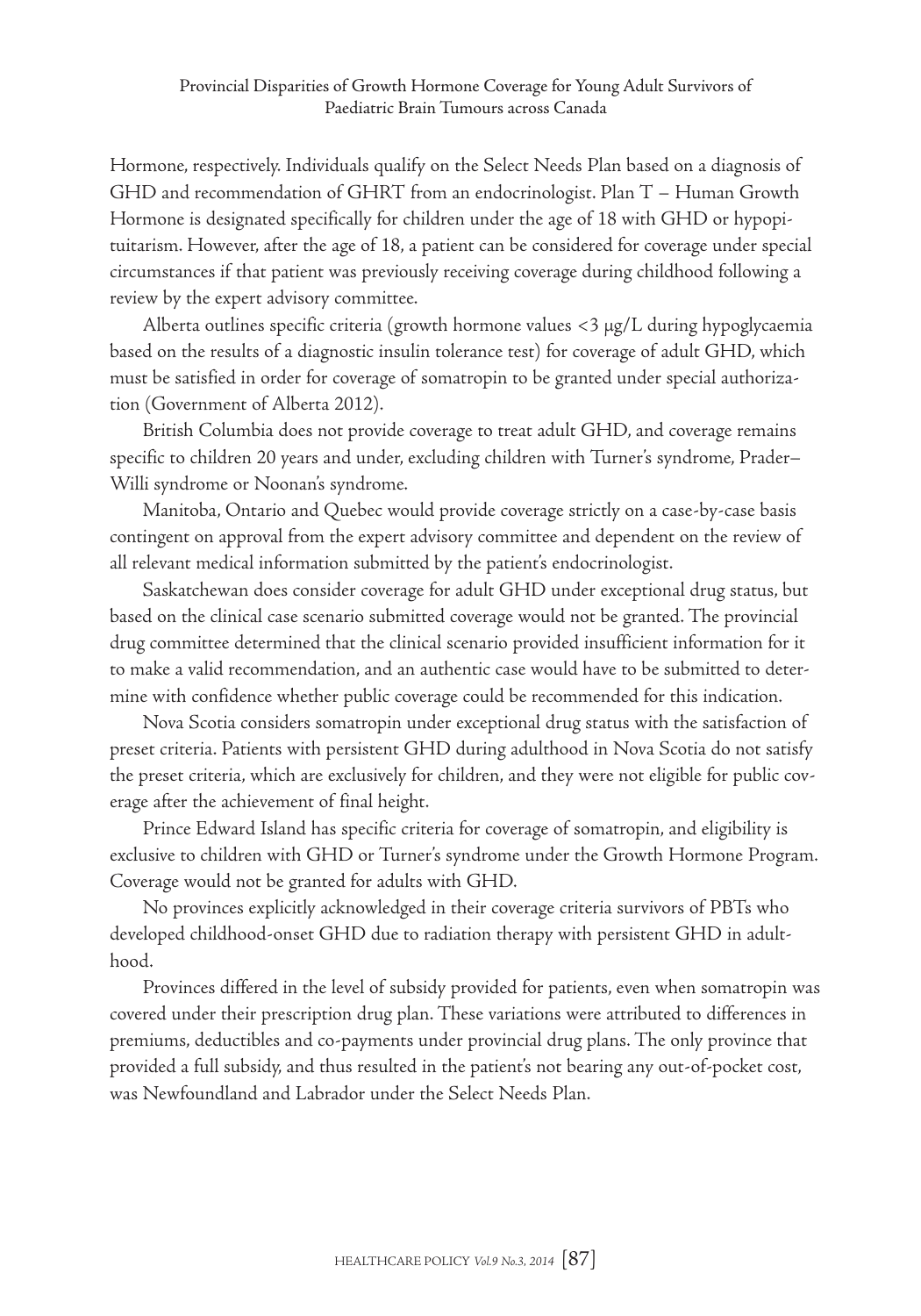Hormone, respectively. Individuals qualify on the Select Needs Plan based on a diagnosis of GHD and recommendation of GHRT from an endocrinologist. Plan T – Human Growth Hormone is designated specifically for children under the age of 18 with GHD or hypopituitarism. However, after the age of 18, a patient can be considered for coverage under special circumstances if that patient was previously receiving coverage during childhood following a review by the expert advisory committee.

Alberta outlines specific criteria (growth hormone values <3 µg/L during hypoglycaemia based on the results of a diagnostic insulin tolerance test) for coverage of adult GHD, which must be satisfied in order for coverage of somatropin to be granted under special authorization (Government of Alberta 2012).

British Columbia does not provide coverage to treat adult GHD, and coverage remains specific to children 20 years and under, excluding children with Turner's syndrome, Prader– Willi syndrome or Noonan's syndrome.

Manitoba, Ontario and Quebec would provide coverage strictly on a case-by-case basis contingent on approval from the expert advisory committee and dependent on the review of all relevant medical information submitted by the patient's endocrinologist.

Saskatchewan does consider coverage for adult GHD under exceptional drug status, but based on the clinical case scenario submitted coverage would not be granted. The provincial drug committee determined that the clinical scenario provided insufficient information for it to make a valid recommendation, and an authentic case would have to be submitted to determine with confidence whether public coverage could be recommended for this indication.

Nova Scotia considers somatropin under exceptional drug status with the satisfaction of preset criteria. Patients with persistent GHD during adulthood in Nova Scotia do not satisfy the preset criteria, which are exclusively for children, and they were not eligible for public coverage after the achievement of final height.

Prince Edward Island has specific criteria for coverage of somatropin, and eligibility is exclusive to children with GHD or Turner's syndrome under the Growth Hormone Program. Coverage would not be granted for adults with GHD.

No provinces explicitly acknowledged in their coverage criteria survivors of PBTs who developed childhood-onset GHD due to radiation therapy with persistent GHD in adulthood.

Provinces differed in the level of subsidy provided for patients, even when somatropin was covered under their prescription drug plan. These variations were attributed to differences in premiums, deductibles and co-payments under provincial drug plans. The only province that provided a full subsidy, and thus resulted in the patient's not bearing any out-of-pocket cost, was Newfoundland and Labrador under the Select Needs Plan.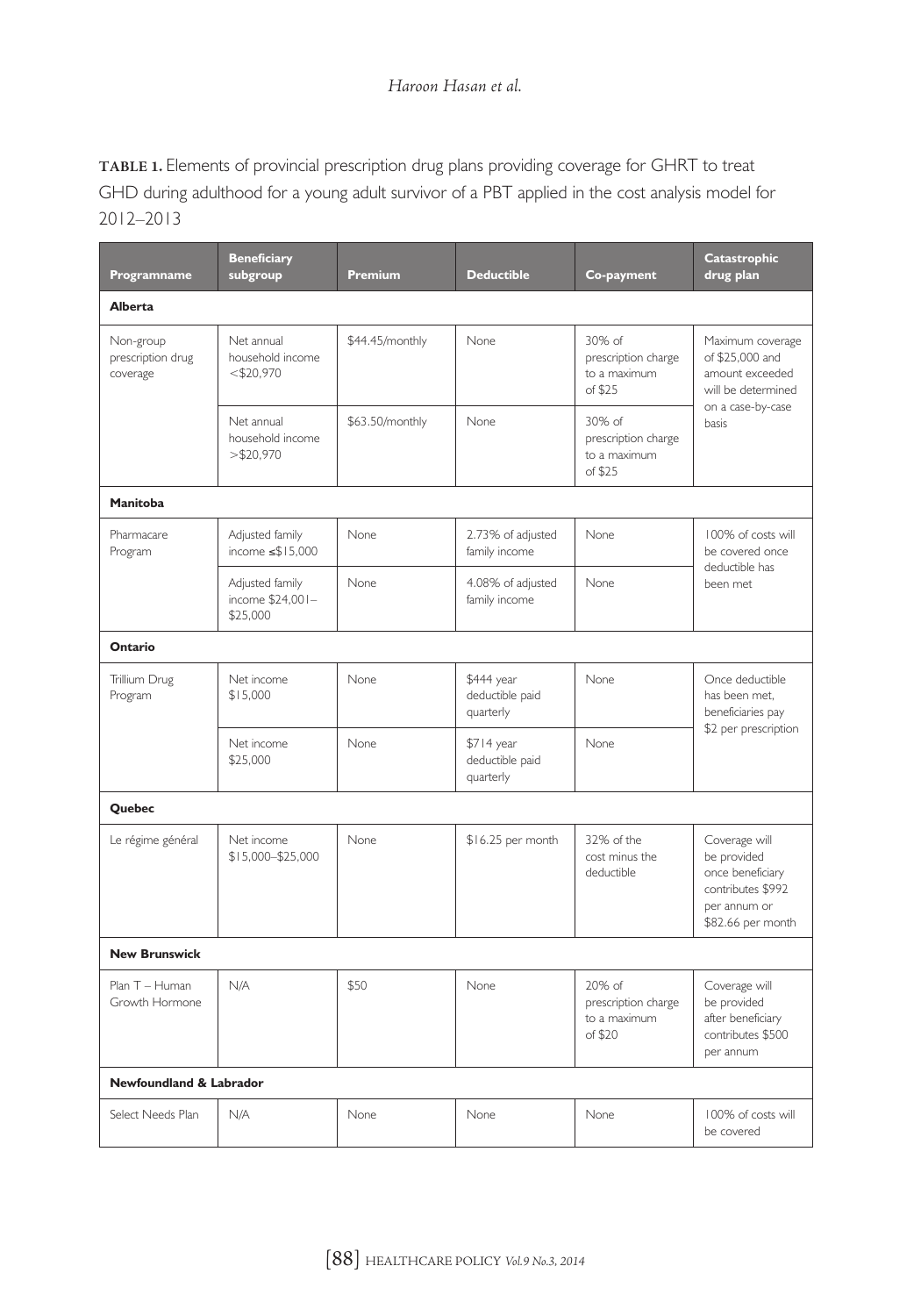**TABLE 1.** Elements of provincial prescription drug plans providing coverage for GHRT to treat GHD during adulthood for a young adult survivor of a PBT applied in the cost analysis model for 2012–2013

| Programname                                | <b>Beneficiary</b><br>subgroup                  | <b>Premium</b>  | <b>Deductible</b>                          | Co-payment                                                 | Catastrophic<br>drug plan                                                                                  |  |  |  |  |  |
|--------------------------------------------|-------------------------------------------------|-----------------|--------------------------------------------|------------------------------------------------------------|------------------------------------------------------------------------------------------------------------|--|--|--|--|--|
| <b>Alberta</b>                             |                                                 |                 |                                            |                                                            |                                                                                                            |  |  |  |  |  |
| Non-group<br>prescription drug<br>coverage | Net annual<br>household income<br>$<$ \$20,970  | \$44.45/monthly | None                                       | 30% of<br>prescription charge<br>to a maximum<br>of \$25   | Maximum coverage<br>of \$25,000 and<br>amount exceeded<br>will be determined<br>on a case-by-case<br>basis |  |  |  |  |  |
|                                            | Net annual<br>household income<br>$>$ \$20,970  | \$63.50/monthly | <b>None</b>                                | $30%$ of<br>prescription charge<br>to a maximum<br>of \$25 |                                                                                                            |  |  |  |  |  |
| <b>Manitoba</b>                            |                                                 |                 |                                            |                                                            |                                                                                                            |  |  |  |  |  |
| Pharmacare<br>Program                      | Adjusted family<br>income $\leq$ \$15.000       | None            | 2.73% of adjusted<br>family income         | None                                                       | 100% of costs will<br>be covered once<br>deductible has<br>been met                                        |  |  |  |  |  |
|                                            | Adjusted family<br>income \$24,001-<br>\$25,000 | <b>None</b>     | 4.08% of adjusted<br>family income         | <b>None</b>                                                |                                                                                                            |  |  |  |  |  |
| <b>Ontario</b>                             |                                                 |                 |                                            |                                                            |                                                                                                            |  |  |  |  |  |
| Trillium Drug<br>Program                   | Net income<br>\$15,000                          | <b>None</b>     | \$444 year<br>deductible paid<br>quarterly | <b>None</b>                                                | Once deductible<br>has been met.<br>beneficiaries pay<br>\$2 per prescription                              |  |  |  |  |  |
|                                            | Net income<br>\$25.000                          | None            | \$714 year<br>deductible paid<br>quarterly | None                                                       |                                                                                                            |  |  |  |  |  |
| Quebec                                     |                                                 |                 |                                            |                                                            |                                                                                                            |  |  |  |  |  |
| Le régime général                          | Net income<br>\$15,000-\$25,000                 | None            | \$16.25 per month                          | 32% of the<br>cost minus the<br>deductible                 | Coverage will<br>be provided<br>once beneficiary<br>contributes \$992<br>per annum or<br>\$82.66 per month |  |  |  |  |  |
| <b>New Brunswick</b>                       |                                                 |                 |                                            |                                                            |                                                                                                            |  |  |  |  |  |
| Plan T - Human<br>Growth Hormone           | N/A                                             | \$50            | None                                       | 20% of<br>prescription charge<br>to a maximum<br>of \$20   | Coverage will<br>be provided<br>after beneficiary<br>contributes \$500<br>per annum                        |  |  |  |  |  |
| Newfoundland & Labrador                    |                                                 |                 |                                            |                                                            |                                                                                                            |  |  |  |  |  |
| Select Needs Plan                          | N/A                                             | None            | None                                       | None                                                       | 100% of costs will<br>be covered                                                                           |  |  |  |  |  |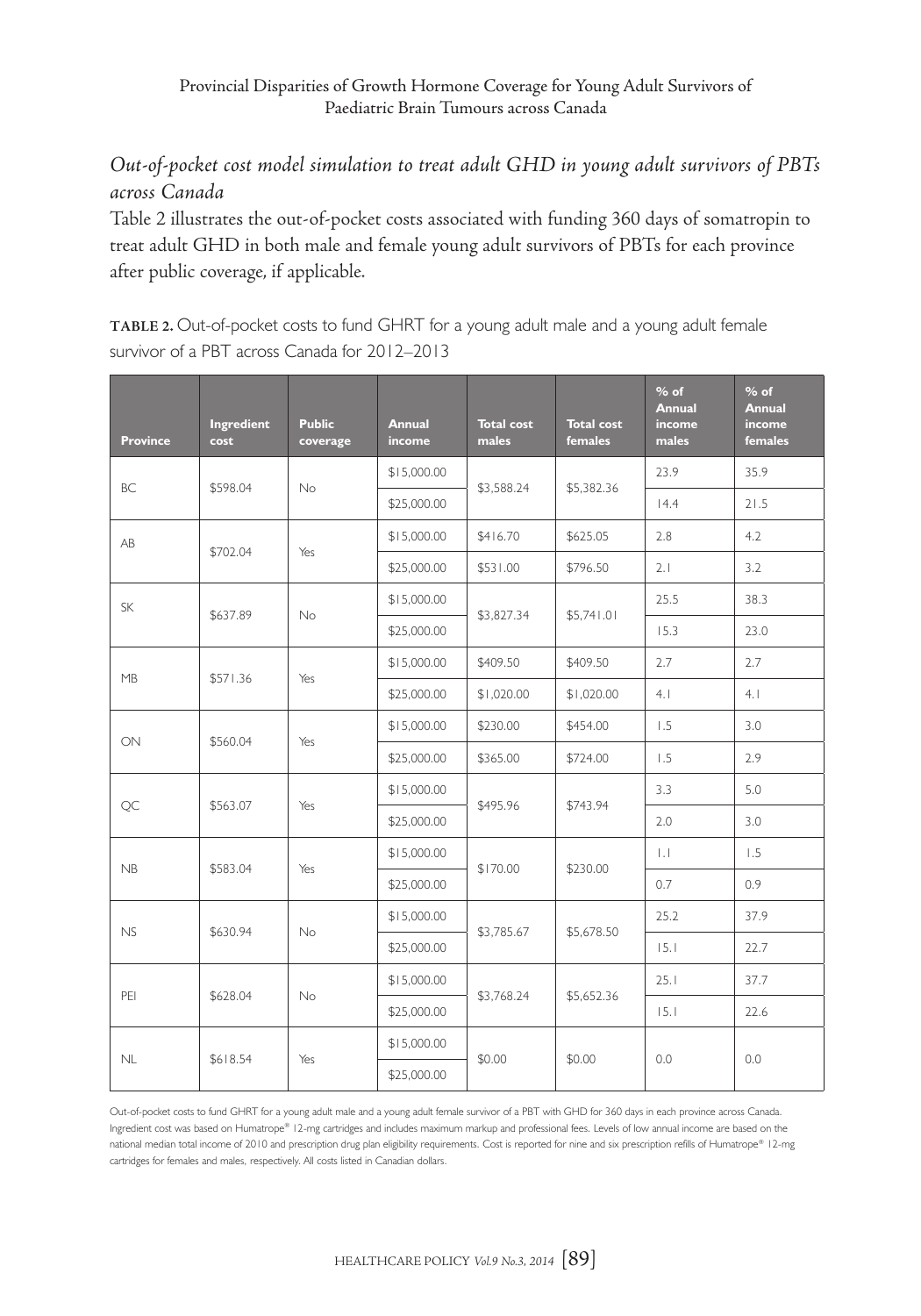### Provincial Disparities of Growth Hormone Coverage for Young Adult Survivors of Paediatric Brain Tumours across Canada

# *Out-of-pocket cost model simulation to treat adult GHD in young adult survivors of PBTs across Canada*

Table 2 illustrates the out-of-pocket costs associated with funding 360 days of somatropin to treat adult GHD in both male and female young adult survivors of PBTs for each province after public coverage, if applicable.

**TABLE 2.** Out-of-pocket costs to fund GHRT for a young adult male and a young adult female survivor of a PBT across Canada for 2012–2013

| <b>Province</b> | Ingredient<br>cost | <b>Public</b><br>coverage | <b>Annual</b><br>income | <b>Total cost</b><br>males | <b>Total cost</b><br>females | $%$ of<br><b>Annual</b><br>income<br>males | $%$ of<br><b>Annual</b><br>income<br>females |
|-----------------|--------------------|---------------------------|-------------------------|----------------------------|------------------------------|--------------------------------------------|----------------------------------------------|
| <b>BC</b>       | \$598.04           | <b>No</b>                 | \$15,000.00             | \$3,588.24                 | \$5,382.36                   | 23.9                                       | 35.9                                         |
|                 |                    |                           | \$25,000.00             |                            |                              | 14.4                                       | 21.5                                         |
| AB              | \$702.04           | Yes                       | \$15,000.00             | \$416.70                   | \$625.05                     | 2.8                                        | 4.2                                          |
|                 |                    |                           | \$25,000.00             | \$531.00                   | \$796.50                     | 2.1                                        | 3.2                                          |
| <b>SK</b>       | \$637.89           | No                        | \$15,000.00             | \$3,827.34                 | \$5,741.01                   | 25.5                                       | 38.3                                         |
|                 |                    |                           | \$25,000.00             |                            |                              | 15.3                                       | 23.0                                         |
| <b>MB</b>       | \$571.36           | Yes                       | \$15,000.00             | \$409.50                   | \$409.50                     | 2.7                                        | 2.7                                          |
|                 |                    |                           | \$25,000.00             | \$1,020.00                 | \$1,020.00                   | 4.1                                        | 4.1                                          |
| ON              | \$560.04           | Yes                       | \$15,000.00             | \$230.00                   | \$454.00                     | 1.5                                        | 3.0                                          |
|                 |                    |                           | \$25,000.00             | \$365.00                   | \$724.00                     | 1.5                                        | 2.9                                          |
| QC              | \$563.07           | Yes                       | \$15,000.00             | \$495.96                   | \$743.94                     | 3.3                                        | 5.0                                          |
|                 |                    |                           | \$25,000.00             |                            |                              | 2.0                                        | 3.0                                          |
| NB              | \$583.04           | Yes                       | \$15,000.00             | \$170.00                   | \$230.00                     | $\mathbf{L}$                               | 1.5                                          |
|                 |                    |                           | \$25,000.00             |                            |                              | 0.7                                        | 0.9                                          |
| NS              | \$630.94           | No                        | \$15,000.00             | \$3,785.67                 | \$5,678.50                   | 25.2                                       | 37.9                                         |
|                 |                    |                           | \$25,000.00             |                            |                              | 15.1                                       | 22.7                                         |
| PEI             | \$628.04           | <b>No</b>                 | \$15,000.00             | \$3,768.24                 | \$5.652.36                   | 25.1                                       | 37.7                                         |
|                 |                    |                           | \$25,000.00             |                            |                              | 5.1                                        | 22.6                                         |
| NL              | \$618.54           | Yes                       | \$15,000.00             | \$0.00                     | \$0.00                       |                                            |                                              |
|                 |                    |                           | \$25,000.00             |                            |                              | 0.0                                        | 0.0                                          |

Out-of-pocket costs to fund GHRT for a young adult male and a young adult female survivor of a PBT with GHD for 360 days in each province across Canada. Ingredient cost was based on Humatrope® 12-mg cartridges and includes maximum markup and professional fees. Levels of low annual income are based on the national median total income of 2010 and prescription drug plan eligibility requirements. Cost is reported for nine and six prescription refills of Humatrope® 12-mg cartridges for females and males, respectively. All costs listed in Canadian dollars.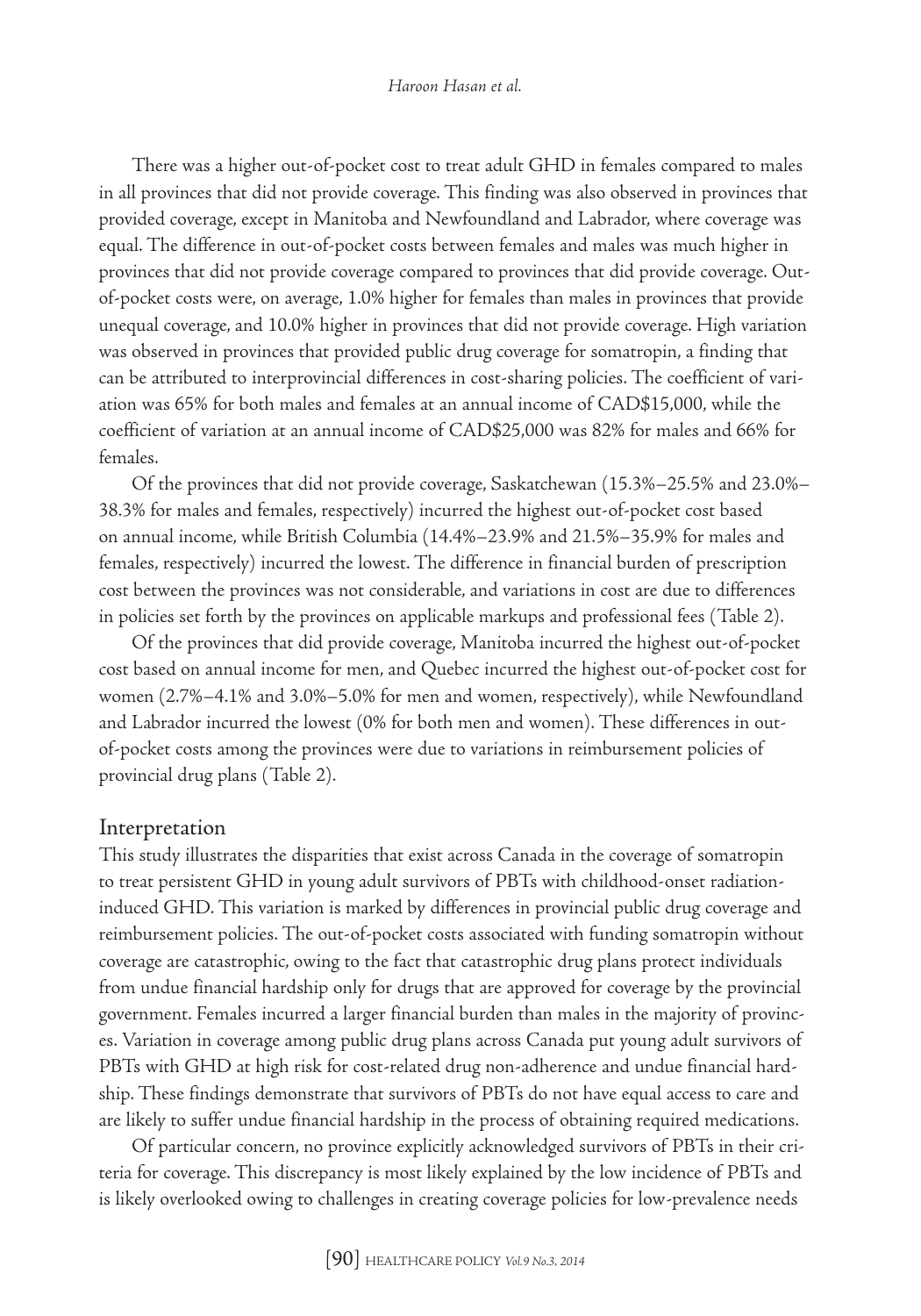There was a higher out-of-pocket cost to treat adult GHD in females compared to males in all provinces that did not provide coverage. This finding was also observed in provinces that provided coverage, except in Manitoba and Newfoundland and Labrador, where coverage was equal. The difference in out-of-pocket costs between females and males was much higher in provinces that did not provide coverage compared to provinces that did provide coverage. Outof-pocket costs were, on average, 1.0% higher for females than males in provinces that provide unequal coverage, and 10.0% higher in provinces that did not provide coverage. High variation was observed in provinces that provided public drug coverage for somatropin, a finding that can be attributed to interprovincial differences in cost-sharing policies. The coefficient of variation was 65% for both males and females at an annual income of CAD\$15,000, while the coefficient of variation at an annual income of CAD\$25,000 was 82% for males and 66% for females.

Of the provinces that did not provide coverage, Saskatchewan (15.3%–25.5% and 23.0%– 38.3% for males and females, respectively) incurred the highest out-of-pocket cost based on annual income, while British Columbia (14.4%–23.9% and 21.5%–35.9% for males and females, respectively) incurred the lowest. The difference in financial burden of prescription cost between the provinces was not considerable, and variations in cost are due to differences in policies set forth by the provinces on applicable markups and professional fees (Table 2).

Of the provinces that did provide coverage, Manitoba incurred the highest out-of-pocket cost based on annual income for men, and Quebec incurred the highest out-of-pocket cost for women (2.7%–4.1% and 3.0%–5.0% for men and women, respectively), while Newfoundland and Labrador incurred the lowest (0% for both men and women). These differences in outof-pocket costs among the provinces were due to variations in reimbursement policies of provincial drug plans (Table 2).

#### Interpretation

This study illustrates the disparities that exist across Canada in the coverage of somatropin to treat persistent GHD in young adult survivors of PBTs with childhood-onset radiationinduced GHD. This variation is marked by differences in provincial public drug coverage and reimbursement policies. The out-of-pocket costs associated with funding somatropin without coverage are catastrophic, owing to the fact that catastrophic drug plans protect individuals from undue financial hardship only for drugs that are approved for coverage by the provincial government. Females incurred a larger financial burden than males in the majority of provinces. Variation in coverage among public drug plans across Canada put young adult survivors of PBTs with GHD at high risk for cost-related drug non-adherence and undue financial hardship. These findings demonstrate that survivors of PBTs do not have equal access to care and are likely to suffer undue financial hardship in the process of obtaining required medications.

Of particular concern, no province explicitly acknowledged survivors of PBTs in their criteria for coverage. This discrepancy is most likely explained by the low incidence of PBTs and is likely overlooked owing to challenges in creating coverage policies for low-prevalence needs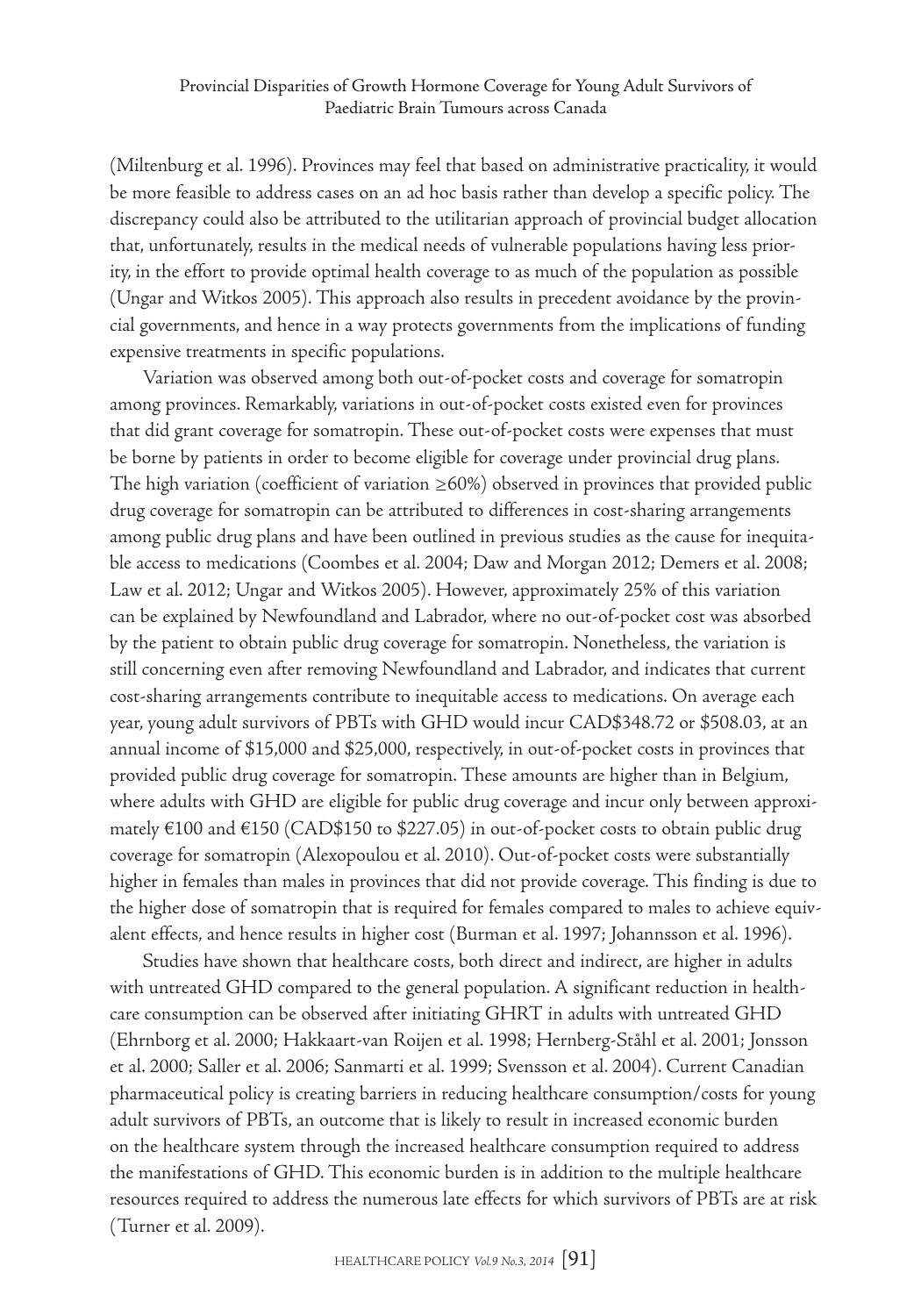(Miltenburg et al. 1996). Provinces may feel that based on administrative practicality, it would be more feasible to address cases on an ad hoc basis rather than develop a specific policy. The discrepancy could also be attributed to the utilitarian approach of provincial budget allocation that, unfortunately, results in the medical needs of vulnerable populations having less priority, in the effort to provide optimal health coverage to as much of the population as possible (Ungar and Witkos 2005). This approach also results in precedent avoidance by the provincial governments, and hence in a way protects governments from the implications of funding expensive treatments in specific populations.

Variation was observed among both out-of-pocket costs and coverage for somatropin among provinces. Remarkably, variations in out-of-pocket costs existed even for provinces that did grant coverage for somatropin. These out-of-pocket costs were expenses that must be borne by patients in order to become eligible for coverage under provincial drug plans. The high variation (coefficient of variation ≥60%) observed in provinces that provided public drug coverage for somatropin can be attributed to differences in cost-sharing arrangements among public drug plans and have been outlined in previous studies as the cause for inequitable access to medications (Coombes et al. 2004; Daw and Morgan 2012; Demers et al. 2008; Law et al. 2012; Ungar and Witkos 2005). However, approximately 25% of this variation can be explained by Newfoundland and Labrador, where no out-of-pocket cost was absorbed by the patient to obtain public drug coverage for somatropin. Nonetheless, the variation is still concerning even after removing Newfoundland and Labrador, and indicates that current cost-sharing arrangements contribute to inequitable access to medications. On average each year, young adult survivors of PBTs with GHD would incur CAD\$348.72 or \$508.03, at an annual income of \$15,000 and \$25,000, respectively, in out-of-pocket costs in provinces that provided public drug coverage for somatropin. These amounts are higher than in Belgium, where adults with GHD are eligible for public drug coverage and incur only between approximately €100 and €150 (CAD\$150 to \$227.05) in out-of-pocket costs to obtain public drug coverage for somatropin (Alexopoulou et al. 2010). Out-of-pocket costs were substantially higher in females than males in provinces that did not provide coverage. This finding is due to the higher dose of somatropin that is required for females compared to males to achieve equivalent effects, and hence results in higher cost (Burman et al. 1997; Johannsson et al. 1996).

Studies have shown that healthcare costs, both direct and indirect, are higher in adults with untreated GHD compared to the general population. A significant reduction in healthcare consumption can be observed after initiating GHRT in adults with untreated GHD (Ehrnborg et al. 2000; Hakkaart-van Roijen et al. 1998; Hernberg-Ståhl et al. 2001; Jonsson et al. 2000; Saller et al. 2006; Sanmarti et al. 1999; Svensson et al. 2004). Current Canadian pharmaceutical policy is creating barriers in reducing healthcare consumption/costs for young adult survivors of PBTs, an outcome that is likely to result in increased economic burden on the healthcare system through the increased healthcare consumption required to address the manifestations of GHD. This economic burden is in addition to the multiple healthcare resources required to address the numerous late effects for which survivors of PBTs are at risk (Turner et al. 2009).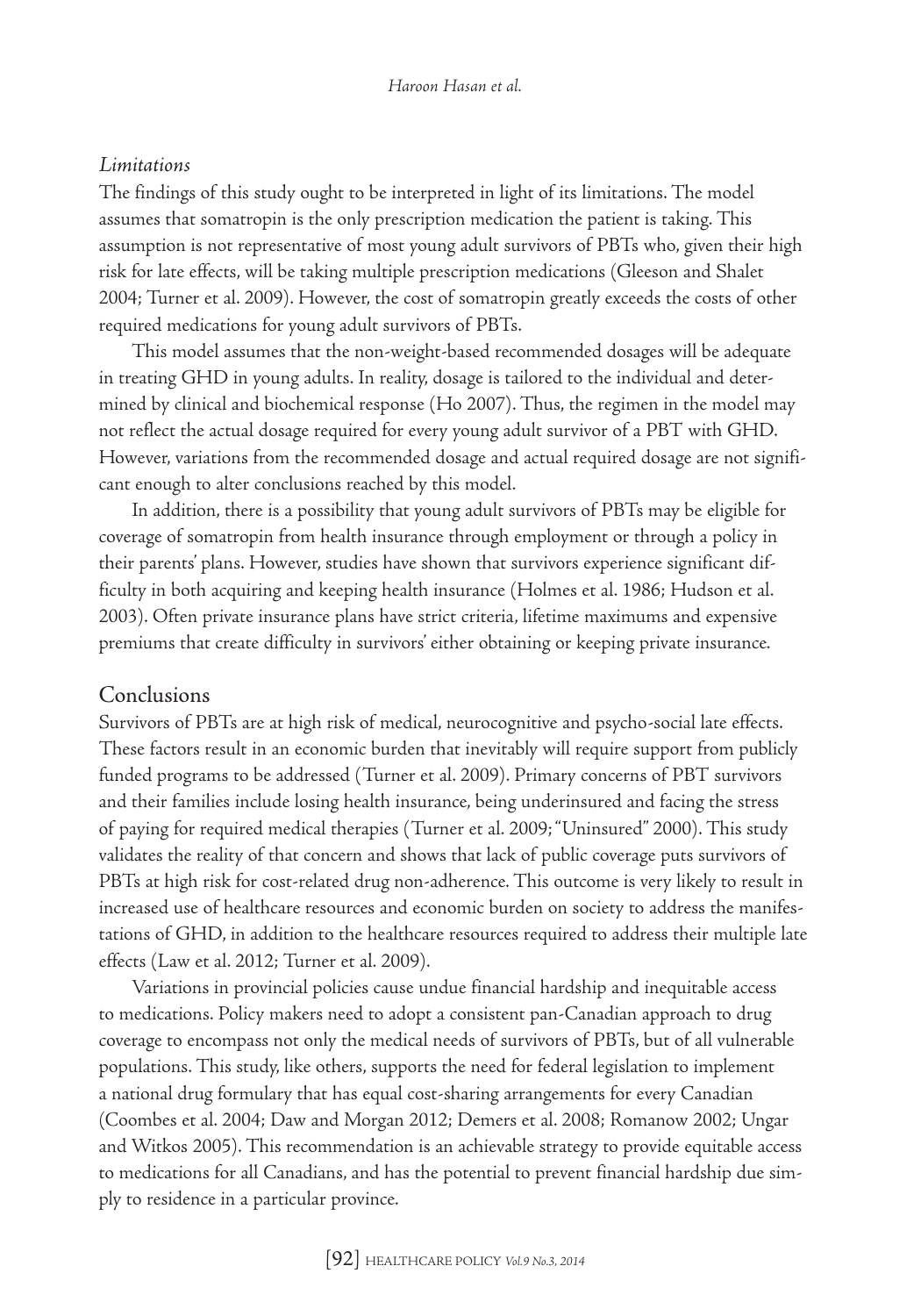### *Limitations*

The findings of this study ought to be interpreted in light of its limitations. The model assumes that somatropin is the only prescription medication the patient is taking. This assumption is not representative of most young adult survivors of PBTs who, given their high risk for late effects, will be taking multiple prescription medications (Gleeson and Shalet 2004; Turner et al. 2009). However, the cost of somatropin greatly exceeds the costs of other required medications for young adult survivors of PBTs.

This model assumes that the non-weight-based recommended dosages will be adequate in treating GHD in young adults. In reality, dosage is tailored to the individual and determined by clinical and biochemical response (Ho 2007). Thus, the regimen in the model may not reflect the actual dosage required for every young adult survivor of a PBT with GHD. However, variations from the recommended dosage and actual required dosage are not significant enough to alter conclusions reached by this model.

In addition, there is a possibility that young adult survivors of PBTs may be eligible for coverage of somatropin from health insurance through employment or through a policy in their parents' plans. However, studies have shown that survivors experience significant difficulty in both acquiring and keeping health insurance (Holmes et al. 1986; Hudson et al. 2003). Often private insurance plans have strict criteria, lifetime maximums and expensive premiums that create difficulty in survivors' either obtaining or keeping private insurance.

## Conclusions

Survivors of PBTs are at high risk of medical, neurocognitive and psycho-social late effects. These factors result in an economic burden that inevitably will require support from publicly funded programs to be addressed (Turner et al. 2009). Primary concerns of PBT survivors and their families include losing health insurance, being underinsured and facing the stress of paying for required medical therapies (Turner et al. 2009; "Uninsured" 2000). This study validates the reality of that concern and shows that lack of public coverage puts survivors of PBTs at high risk for cost-related drug non-adherence. This outcome is very likely to result in increased use of healthcare resources and economic burden on society to address the manifestations of GHD, in addition to the healthcare resources required to address their multiple late effects (Law et al. 2012; Turner et al. 2009).

Variations in provincial policies cause undue financial hardship and inequitable access to medications. Policy makers need to adopt a consistent pan-Canadian approach to drug coverage to encompass not only the medical needs of survivors of PBTs, but of all vulnerable populations. This study, like others, supports the need for federal legislation to implement a national drug formulary that has equal cost-sharing arrangements for every Canadian (Coombes et al. 2004; Daw and Morgan 2012; Demers et al. 2008; Romanow 2002; Ungar and Witkos 2005). This recommendation is an achievable strategy to provide equitable access to medications for all Canadians, and has the potential to prevent financial hardship due simply to residence in a particular province.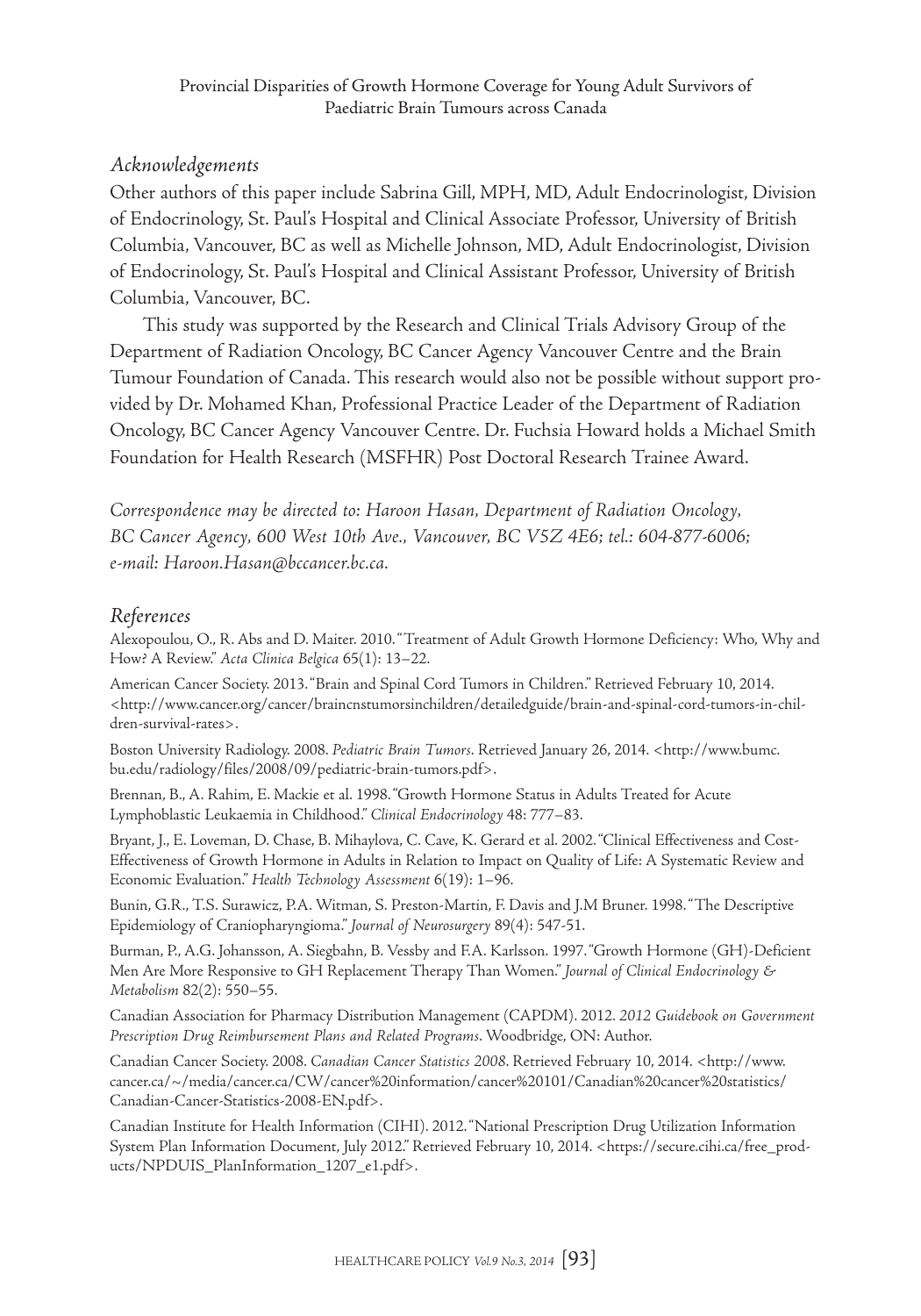## *Acknowledgements*

Other authors of this paper include Sabrina Gill, MPH, MD, Adult Endocrinologist, Division of Endocrinology, St. Paul's Hospital and Clinical Associate Professor, University of British Columbia, Vancouver, BC as well as Michelle Johnson, MD, Adult Endocrinologist, Division of Endocrinology, St. Paul's Hospital and Clinical Assistant Professor, University of British Columbia, Vancouver, BC.

This study was supported by the Research and Clinical Trials Advisory Group of the Department of Radiation Oncology, BC Cancer Agency Vancouver Centre and the Brain Tumour Foundation of Canada. This research would also not be possible without support provided by Dr. Mohamed Khan, Professional Practice Leader of the Department of Radiation Oncology, BC Cancer Agency Vancouver Centre. Dr. Fuchsia Howard holds a Michael Smith Foundation for Health Research (MSFHR) Post Doctoral Research Trainee Award.

*Correspondence may be directed to: Haroon Hasan, Department of Radiation Oncology, BC Cancer Agency, 600 West 10th Ave., Vancouver, BC V5Z 4E6; tel.: 604-877-6006; e-mail: Haroon.Hasan@bccancer.bc.ca.*

## *References*

Alexopoulou, O., R. Abs and D. Maiter. 2010. "Treatment of Adult Growth Hormone Deficiency: Who, Why and How? A Review." *Acta Clinica Belgica* 65(1): 13–22.

American Cancer Society. 2013. "Brain and Spinal Cord Tumors in Children." Retrieved February 10, 2014. <http://www.cancer.org/cancer/braincnstumorsinchildren/detailedguide/brain-and-spinal-cord-tumors-in-children-survival-rates>.

Boston University Radiology. 2008. *Pediatric Brain Tumors*. Retrieved January 26, 2014. <http://www.bumc. bu.edu/radiology/files/2008/09/pediatric-brain-tumors.pdf>.

Brennan, B., A. Rahim, E. Mackie et al. 1998. "Growth Hormone Status in Adults Treated for Acute Lymphoblastic Leukaemia in Childhood." *Clinical Endocrinology* 48: 777–83.

Bryant, J., E. Loveman, D. Chase, B. Mihaylova, C. Cave, K. Gerard et al. 2002. "Clinical Effectiveness and Cost-Effectiveness of Growth Hormone in Adults in Relation to Impact on Quality of Life: A Systematic Review and Economic Evaluation." *Health Technology Assessment* 6(19): 1–96.

Bunin, G.R., T.S. Surawicz, P.A. Witman, S. Preston-Martin, F. Davis and J.M Bruner. 1998. "The Descriptive Epidemiology of Craniopharyngioma." *Journal of Neurosurgery* 89(4): 547-51.

Burman, P., A.G. Johansson, A. Siegbahn, B. Vessby and F.A. Karlsson. 1997. "Growth Hormone (GH)-Deficient Men Are More Responsive to GH Replacement Therapy Than Women." *Journal of Clinical Endocrinology & Metabolism* 82(2): 550–55.

Canadian Association for Pharmacy Distribution Management (CAPDM). 2012. *2012 Guidebook on Government Prescription Drug Reimbursement Plans and Related Programs*. Woodbridge, ON: Author.

Canadian Cancer Society. 2008. *Canadian Cancer Statistics 2008*. Retrieved February 10, 2014. <http://www. cancer.ca/~/media/cancer.ca/CW/cancer%20information/cancer%20101/Canadian%20cancer%20statistics/ Canadian-Cancer-Statistics-2008-EN.pdf>.

Canadian Institute for Health Information (CIHI). 2012. "National Prescription Drug Utilization Information System Plan Information Document, July 2012." Retrieved February 10, 2014. <https://secure.cihi.ca/free\_products/NPDUIS\_PlanInformation\_1207\_e1.pdf>.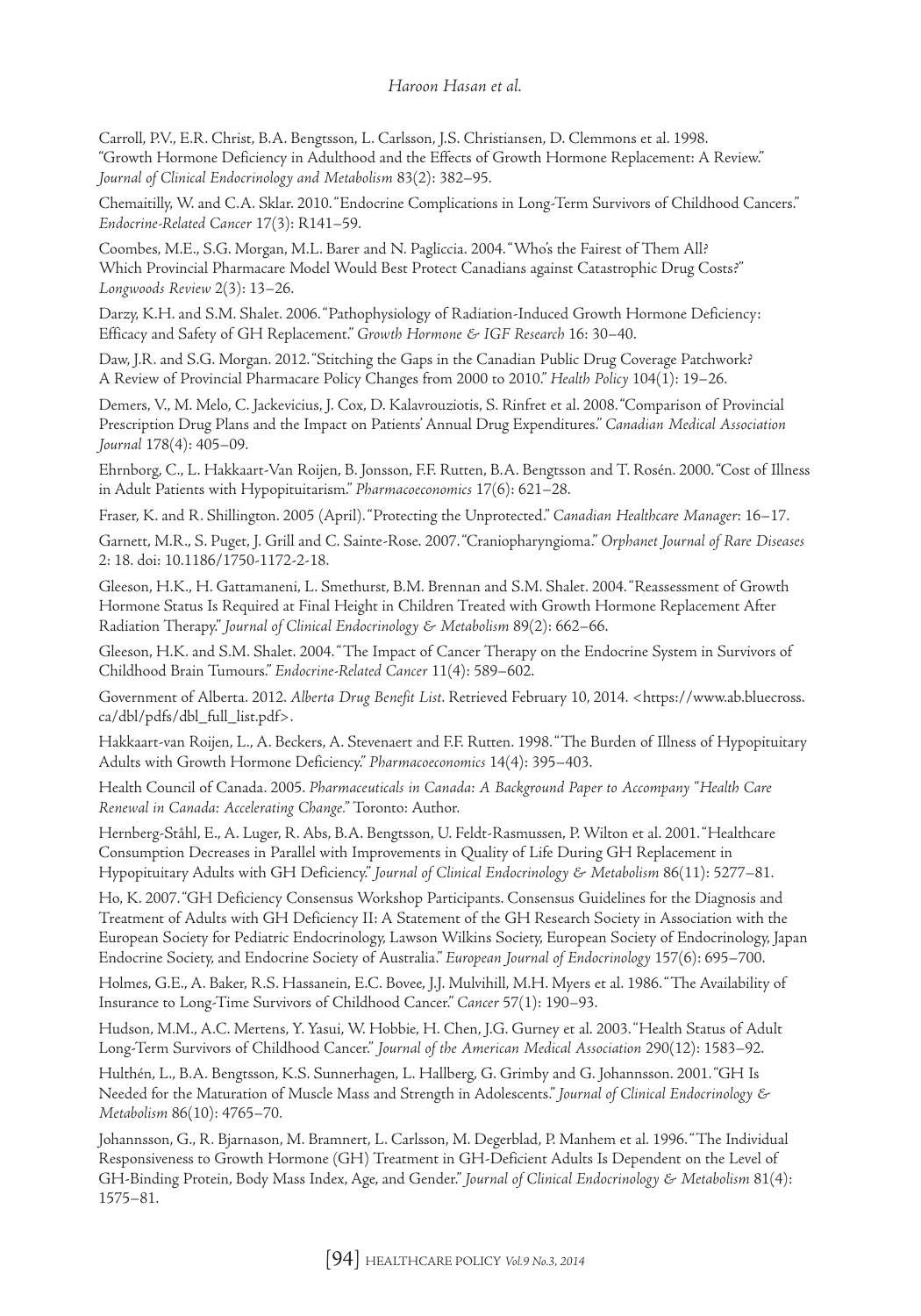Carroll, P.V., E.R. Christ, B.A. Bengtsson, L. Carlsson, J.S. Christiansen, D. Clemmons et al. 1998. "Growth Hormone Deficiency in Adulthood and the Effects of Growth Hormone Replacement: A Review." *Journal of Clinical Endocrinology and Metabolism* 83(2): 382–95.

Chemaitilly, W. and C.A. Sklar. 2010. "Endocrine Complications in Long-Term Survivors of Childhood Cancers." *Endocrine-Related Cancer* 17(3): R141–59.

Coombes, M.E., S.G. Morgan, M.L. Barer and N. Pagliccia. 2004. "Who's the Fairest of Them All? Which Provincial Pharmacare Model Would Best Protect Canadians against Catastrophic Drug Costs?" *Longwoods Review* 2(3): 13–26.

Darzy, K.H. and S.M. Shalet. 2006. "Pathophysiology of Radiation-Induced Growth Hormone Deficiency: Efficacy and Safety of GH Replacement." *Growth Hormone & IGF Research* 16: 30–40.

Daw, J.R. and S.G. Morgan. 2012. "Stitching the Gaps in the Canadian Public Drug Coverage Patchwork? A Review of Provincial Pharmacare Policy Changes from 2000 to 2010." *Health Policy* 104(1): 19–26.

Demers, V., M. Melo, C. Jackevicius, J. Cox, D. Kalavrouziotis, S. Rinfret et al. 2008. "Comparison of Provincial Prescription Drug Plans and the Impact on Patients' Annual Drug Expenditures." *Canadian Medical Association Journal* 178(4): 405–09.

Ehrnborg, C., L. Hakkaart-Van Roijen, B. Jonsson, F.F. Rutten, B.A. Bengtsson and T. Rosén. 2000. "Cost of Illness in Adult Patients with Hypopituitarism." *Pharmacoeconomics* 17(6): 621–28.

Fraser, K. and R. Shillington. 2005 (April). "Protecting the Unprotected." *Canadian Healthcare Manager*: 16–17.

Garnett, M.R., S. Puget, J. Grill and C. Sainte-Rose. 2007. "Craniopharyngioma." *Orphanet Journal of Rare Diseases* 2: 18. doi: 10.1186/1750-1172-2-18.

Gleeson, H.K., H. Gattamaneni, L. Smethurst, B.M. Brennan and S.M. Shalet. 2004. "Reassessment of Growth Hormone Status Is Required at Final Height in Children Treated with Growth Hormone Replacement After Radiation Therapy." *Journal of Clinical Endocrinology & Metabolism* 89(2): 662–66.

Gleeson, H.K. and S.M. Shalet. 2004. "The Impact of Cancer Therapy on the Endocrine System in Survivors of Childhood Brain Tumours." *Endocrine-Related Cancer* 11(4): 589–602.

Government of Alberta. 2012. *Alberta Drug Benefit List*. Retrieved February 10, 2014. <https://www.ab.bluecross. ca/dbl/pdfs/dbl\_full\_list.pdf>.

Hakkaart-van Roijen, L., A. Beckers, A. Stevenaert and F.F. Rutten. 1998. "The Burden of Illness of Hypopituitary Adults with Growth Hormone Deficiency." *Pharmacoeconomics* 14(4): 395–403.

Health Council of Canada. 2005. *Pharmaceuticals in Canada: A Background Paper to Accompany "Health Care Renewal in Canada: Accelerating Change."* Toronto: Author.

Hernberg-Ståhl, E., A. Luger, R. Abs, B.A. Bengtsson, U. Feldt-Rasmussen, P. Wilton et al. 2001. "Healthcare Consumption Decreases in Parallel with Improvements in Quality of Life During GH Replacement in Hypopituitary Adults with GH Deficiency." *Journal of Clinical Endocrinology & Metabolism* 86(11): 5277–81.

Ho, K. 2007. "GH Deficiency Consensus Workshop Participants. Consensus Guidelines for the Diagnosis and Treatment of Adults with GH Deficiency II: A Statement of the GH Research Society in Association with the European Society for Pediatric Endocrinology, Lawson Wilkins Society, European Society of Endocrinology, Japan Endocrine Society, and Endocrine Society of Australia." *European Journal of Endocrinology* 157(6): 695–700.

Holmes, G.E., A. Baker, R.S. Hassanein, E.C. Bovee, J.J. Mulvihill, M.H. Myers et al. 1986. "The Availability of Insurance to Long-Time Survivors of Childhood Cancer." *Cancer* 57(1): 190–93.

Hudson, M.M., A.C. Mertens, Y. Yasui, W. Hobbie, H. Chen, J.G. Gurney et al. 2003. "Health Status of Adult Long-Term Survivors of Childhood Cancer." *Journal of the American Medical Association* 290(12): 1583–92.

Hulthén, L., B.A. Bengtsson, K.S. Sunnerhagen, L. Hallberg, G. Grimby and G. Johannsson. 2001. "GH Is Needed for the Maturation of Muscle Mass and Strength in Adolescents." *Journal of Clinical Endocrinology & Metabolism* 86(10): 4765–70.

Johannsson, G., R. Bjarnason, M. Bramnert, L. Carlsson, M. Degerblad, P. Manhem et al. 1996. "The Individual Responsiveness to Growth Hormone (GH) Treatment in GH-Deficient Adults Is Dependent on the Level of GH-Binding Protein, Body Mass Index, Age, and Gender." *Journal of Clinical Endocrinology & Metabolism* 81(4): 1575–81.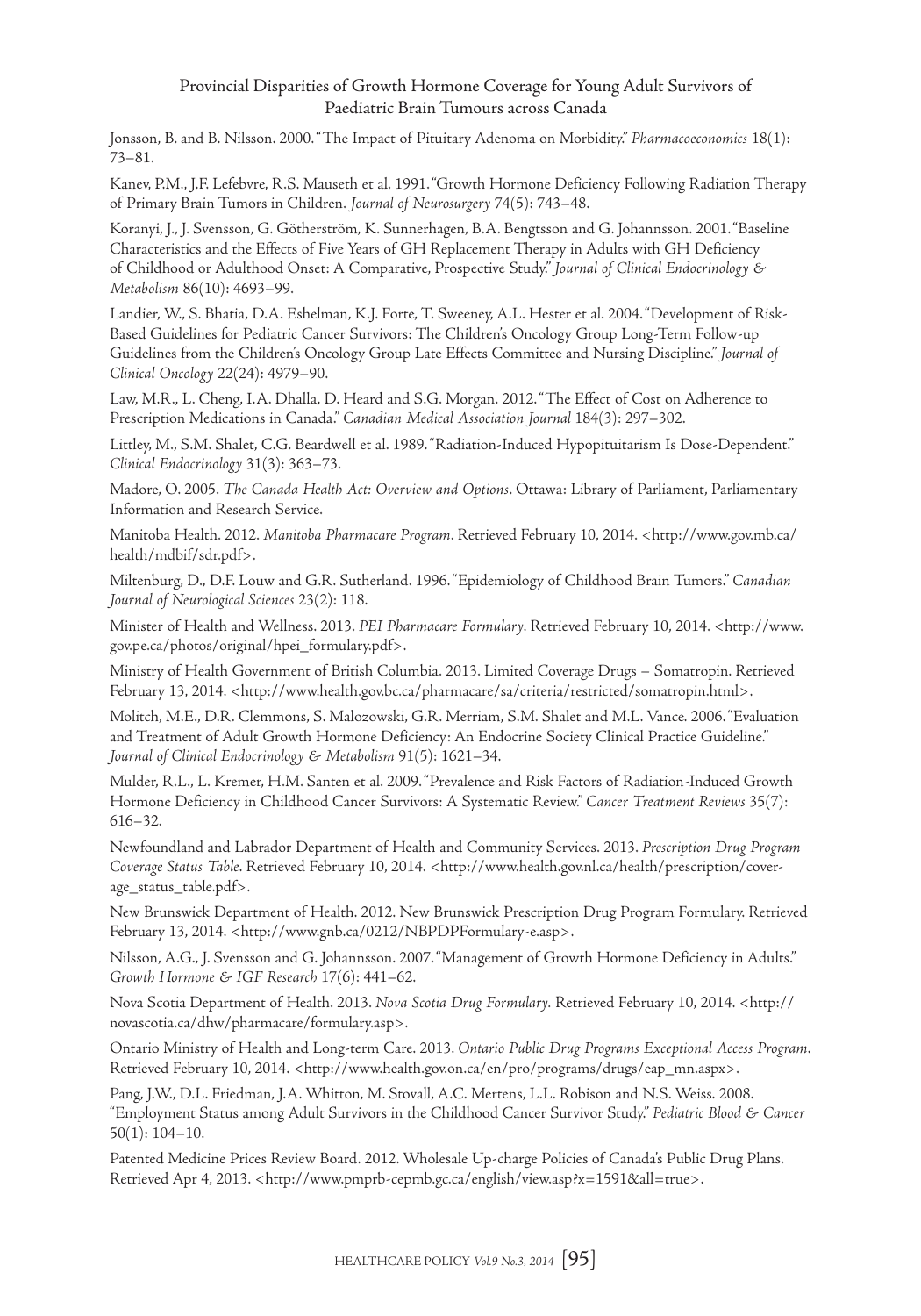#### Provincial Disparities of Growth Hormone Coverage for Young Adult Survivors of Paediatric Brain Tumours across Canada

Jonsson, B. and B. Nilsson. 2000. "The Impact of Pituitary Adenoma on Morbidity." *Pharmacoeconomics* 18(1): 73–81.

Kanev, P.M., J.F. Lefebvre, R.S. Mauseth et al. 1991. "Growth Hormone Deficiency Following Radiation Therapy of Primary Brain Tumors in Children. *Journal of Neurosurgery* 74(5): 743–48.

Koranyi, J., J. Svensson, G. Götherström, K. Sunnerhagen, B.A. Bengtsson and G. Johannsson. 2001. "Baseline Characteristics and the Effects of Five Years of GH Replacement Therapy in Adults with GH Deficiency of Childhood or Adulthood Onset: A Comparative, Prospective Study." *Journal of Clinical Endocrinology & Metabolism* 86(10): 4693–99.

Landier, W., S. Bhatia, D.A. Eshelman, K.J. Forte, T. Sweeney, A.L. Hester et al. 2004. "Development of Risk-Based Guidelines for Pediatric Cancer Survivors: The Children's Oncology Group Long-Term Follow-up Guidelines from the Children's Oncology Group Late Effects Committee and Nursing Discipline." *Journal of Clinical Oncology* 22(24): 4979–90.

Law, M.R., L. Cheng, I.A. Dhalla, D. Heard and S.G. Morgan. 2012. "The Effect of Cost on Adherence to Prescription Medications in Canada." *Canadian Medical Association Journal* 184(3): 297–302.

Littley, M., S.M. Shalet, C.G. Beardwell et al. 1989. "Radiation-Induced Hypopituitarism Is Dose-Dependent." *Clinical Endocrinology* 31(3): 363–73.

Madore, O. 2005. *The Canada Health Act: Overview and Options*. Ottawa: Library of Parliament, Parliamentary Information and Research Service.

Manitoba Health. 2012. *Manitoba Pharmacare Program*. Retrieved February 10, 2014. <http://www.gov.mb.ca/ health/mdbif/sdr.pdf>.

Miltenburg, D., D.F. Louw and G.R. Sutherland. 1996. "Epidemiology of Childhood Brain Tumors." *Canadian Journal of Neurological Sciences* 23(2): 118.

Minister of Health and Wellness. 2013. *PEI Pharmacare Formulary*. Retrieved February 10, 2014. <http://www. gov.pe.ca/photos/original/hpei\_formulary.pdf>.

Ministry of Health Government of British Columbia. 2013. Limited Coverage Drugs – Somatropin. Retrieved February 13, 2014. <http://www.health.gov.bc.ca/pharmacare/sa/criteria/restricted/somatropin.html>.

Molitch, M.E., D.R. Clemmons, S. Malozowski, G.R. Merriam, S.M. Shalet and M.L. Vance. 2006. "Evaluation and Treatment of Adult Growth Hormone Deficiency: An Endocrine Society Clinical Practice Guideline." *Journal of Clinical Endocrinology & Metabolism* 91(5): 1621–34.

Mulder, R.L., L. Kremer, H.M. Santen et al. 2009. "Prevalence and Risk Factors of Radiation-Induced Growth Hormone Deficiency in Childhood Cancer Survivors: A Systematic Review." *Cancer Treatment Reviews* 35(7): 616–32.

Newfoundland and Labrador Department of Health and Community Services. 2013. *Prescription Drug Program Coverage Status Table*. Retrieved February 10, 2014. <http://www.health.gov.nl.ca/health/prescription/coverage\_status\_table.pdf>.

New Brunswick Department of Health. 2012. New Brunswick Prescription Drug Program Formulary. Retrieved February 13, 2014. <http://www.gnb.ca/0212/NBPDPFormulary-e.asp>.

Nilsson, A.G., J. Svensson and G. Johannsson. 2007. "Management of Growth Hormone Deficiency in Adults." *Growth Hormone & IGF Research* 17(6): 441–62.

Nova Scotia Department of Health. 2013. *Nova Scotia Drug Formulary.* Retrieved February 10, 2014. <http:// novascotia.ca/dhw/pharmacare/formulary.asp>.

Ontario Ministry of Health and Long-term Care. 2013. *Ontario Public Drug Programs Exceptional Access Program*. Retrieved February 10, 2014. <http://www.health.gov.on.ca/en/pro/programs/drugs/eap\_mn.aspx>.

Pang, J.W., D.L. Friedman, J.A. Whitton, M. Stovall, A.C. Mertens, L.L. Robison and N.S. Weiss. 2008. "Employment Status among Adult Survivors in the Childhood Cancer Survivor Study." *Pediatric Blood & Cancer*  50(1): 104–10.

Patented Medicine Prices Review Board. 2012. Wholesale Up-charge Policies of Canada's Public Drug Plans. Retrieved Apr 4, 2013. <http://www.pmprb-cepmb.gc.ca/english/view.asp?x=1591&all=true>.